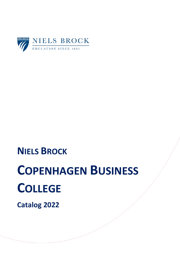

# **NIELS BROCK**

# **COPENHAGEN BUSINESS COLLEGE**

**Catalog 2022**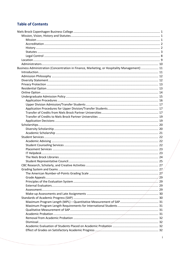# **Table of Contents**

| Business Administration (Concentration in Finance, Marketing, or Hospitality Management)  11 |  |
|----------------------------------------------------------------------------------------------|--|
|                                                                                              |  |
|                                                                                              |  |
|                                                                                              |  |
|                                                                                              |  |
|                                                                                              |  |
|                                                                                              |  |
|                                                                                              |  |
|                                                                                              |  |
|                                                                                              |  |
|                                                                                              |  |
|                                                                                              |  |
|                                                                                              |  |
|                                                                                              |  |
|                                                                                              |  |
|                                                                                              |  |
|                                                                                              |  |
|                                                                                              |  |
|                                                                                              |  |
|                                                                                              |  |
|                                                                                              |  |
|                                                                                              |  |
|                                                                                              |  |
|                                                                                              |  |
| CBC Research, Scholarly, and Creative Activities                                             |  |
|                                                                                              |  |
|                                                                                              |  |
|                                                                                              |  |
|                                                                                              |  |
|                                                                                              |  |
|                                                                                              |  |
|                                                                                              |  |
|                                                                                              |  |
|                                                                                              |  |
|                                                                                              |  |
|                                                                                              |  |
|                                                                                              |  |
|                                                                                              |  |
|                                                                                              |  |
|                                                                                              |  |
|                                                                                              |  |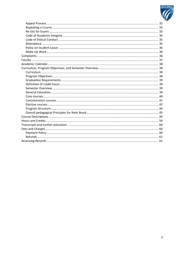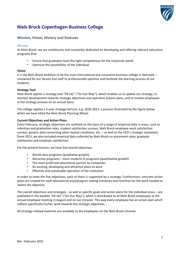

# **Niels Brock Copenhagen Business College**

# **Mission, Vision, History and Statutes**

# **Mission**

At Niels Brock, we are ambitiously and constantly dedicated to developing and offering relevant education programs that:

- Ensure that graduates have the right competences for the corporate world.
- Optimize the possibilities of the individual.

# **Vision**

It is the Niels Brock ambition to be the most international and innovative business college in Denmark – renowned for our faculty and staff to professionally optimize and facilitate the learning process of our students.

# **Strategy Tool**

Niels Brock applies a strategy tool "*På Vej*" ("On Our Way"), which enables us to update our strategy, to monitor development towards strategic objectives and operative actions plans, and to involve employees in the strategy process on an annual basis.

The college applies a 3-year strategy horizon, e.g. 2020-2023, a process illustrated by the figure below which we have titled the Niels Brock Planning Wheel.

# **Current Objectives and Action Plans**

Every February, strategic objectives are outlined on the basis of a range of empirical data in areas, such as retention and graduation rates, student satisfaction surveys, Niels Brock employee work satisfaction surveys, generic data concerning labor market conditions, etc. – as well as the CEO's strategic statement. Since 2013, we also included empirical data collected by Niels Brock on placement rates, graduate satisfaction and employer satisfaction.

For the present horizon, we have five overall objectives:

- World-class programs (qualitative growth)
- Attractive programs more students in programs (quantitative growth)
- The most preferred educational partner by companies
- An exciting, developing and attractive place to work
- Effective and sustainable operation of the institution

In order to meet the five objectives, each of them is supported by a strategy. Furthermore, concrete action plans are created for each educational area/program stating initiatives and timelines for the work needed to realize the objective.

The overall objectives and strategies - as well as specific goals and action plans for the individual areas – are published in the booklet "*På Vej*" ("On Our Way"), which is distributed to all Niels Brock employees at the annual employee meeting in August and on our intranet. This way every employee has an action plan which reflects specifically his/her work towards the strategic objectives.

All strategy-related materials are available to the employees on the Niels Brock intranet.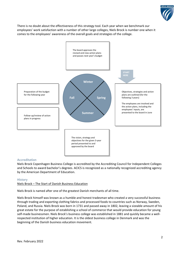

There is no doubt about the effectiveness of this strategy tool. Each year when we benchmark our employees' work satisfaction with a number of other large colleges, Niels Brock is number one when it comes to the employees' awareness of the overall goals and strategies of the college.



# **Accreditation**

Niels Brock Copenhagen Business College is accredited by the Accrediting Council for Independent Colleges and Schools to award bachelor's degrees. ACICS is recognized as a nationally recognized accrediting agency by the American Department of Education.

# **History**

# Niels Brock – The Start of Danish Business Education

Niels Brock is named after one of the greatest Danish merchants of all time.

Niels Brock himself was known as a humble and honest tradesman who created a very successful business through trading and exporting clothing fabrics and processed foods to countries such as Norway, Sweden, Poland, and Russia. Niels Brock was born in 1731 and passed away in 1802, leaving a sizeable amount of his great estate for the purpose of establishing a school of commerce that would provide education for young self-made businessmen. Niels Brock's business college was established in 1881 and quickly became a wellrespected institution of higher education. It is the oldest business college in Denmark and was the beginning of the Danish business education movement.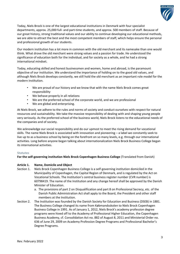

Today, Niels Brock is one of the largest educational institutions in Denmark with four specialist departments, approx. 25,000 full- and part-time students, and approx. 500 members of staff. Because of our great history, strong traditional values and our ability to continue developing our educational methods, we are able to attract the best and the most competent members of staff, which helps ensure the personal and professional growth of our students.

Our modern institution has a lot more in common with the old merchant and its namesake than one would think. What drove the old merchant were strong values and a passion for trade. He understood the significance of education both for the individual, and for society as a whole, and he had a strong international mindset.

Today, educating skilled and honest businessmen and women, home and abroad, is the paramount objective of our institution. We understand the importance of holding on to the good old values, and although Niels Brock develops constantly, we still hold the old merchant as an important role model for the modern institution.

- We are proud of our history and we know that with the name Niels Brock comes great responsibility
- We behave properly in all relations
- We are the preferred school of the corporate world, and we are professional
- We are global and enterprising.

At Niels Brock, we adhere to the rules and norms of society and conduct ourselves with respect for natural resources and sustainability. We take the massive responsibility of dealing with and shaping young people very seriously. As the preferred school of the business world, Niels Brock listens to the educational needs of the companies and of society.

We acknowledge our social responsibility and do our upmost to meet the rising demand for vocational skills. The name Niels Brock is associated with innovation and pioneering – a label we constantly seek to live up to as a business school by being on the forefront on so many levels, e.g. through our international activities. Long before anyone began talking about internationalization Niels Brock Business College began its international activities.

# **Statutes**

**For the self-governing institution Niels Brock Copenhagen Business College** (Translated from Danish)

# **Article 1. Name, Domicile and Object**

- Section 1. Niels Brock Copenhagen Business College is a self-governing institution domiciled in the Municipality of Copenhagen, the Capital Region of Denmark, and is regulated by the Act on Vocational Schools. The Institution's central business register number (CVR number) is 60798419. The name of the Institution and any change hereof shall be approved by the Danish Minister of Education.
	- a. The provisions of part 2 on Disqualification and part 8 on Professional Secrecy, etc. of the Danish Public Administration Act shall apply to the Board, the President and other staff members at the Institution.
- Section 2. The Institution was founded by the Danish Society for Education and Business (DSEB) in 1881. The Business College changed its name from Købmandsskolen to Niels Brock Copenhagen Business College in 1991. As of January 1, 2012, Niels Brock's academy profession degree programs were hived off to the Academy of Professional Higher Education, the Copenhagen Business Academy, cf. Consolidation Act no. 882 of August 8, 2011 and Ministerial Order no. 636 of June 29, 2009 on Academy Profession Degree Programs and Professional Bachelor's Degree Programs.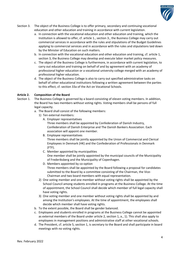

- Section 3. The object of the Business College is to offer primary, secondary and continuing vocational education and other education and training in accordance with current legislation.
	- a. In connection with the vocational education and other education and training, which the Institution is allowed to offer, cf. article 1., section 3., the Business College may carry out commercial services in accordance with the rules and stipulations of the Budget Guidelines applying to commercial services and in accordance with the rules and stipulations laid down by the Minister of Education on such matters.
	- b. In connection with the vocational education and other education and training, cf. article 1, section 3, the Business College may develop and execute labor market policy measures.
	- c. The object of the Business College is furthermore, in accordance with current legislation, to carry out education and training on behalf of and by agreement with an academy of professional higher education or a vocational university college merged with an academy of professional higher education.
	- d. The object of the Business College is also to carry out specified administrative tasks on behalf of other educational institutions following a written agreement between the parties to this effect, cf. section 33a of the Act on Vocational Schools.

# **Article 2. Composition of the Board**

- Section 1. The Business College is governed by a board consisting of eleven voting members. In addition, the Board has two members without voting rights. Voting members shall be persons of full legal capacity.
	- a. The Board shall consist of the following members:
		- 1) Ten external members:
			- A. Employer representatives
				- Three members shall be appointed by Confederation of Danish Industry, Confederation of Danish Enterprise and The Danish Bankers Association. Each association will appoint one member.
			- B. Employee representatives Three members shall be jointly appointed by the Union of Commercial and Clerical Employees in Denmark (HK) and the Confederation of Professionals in Denmark (FTF).
			- C. Member appointed by municipalities One member shall be jointly appointed by the municipal councils of the Municipality of Frederiksberg and the Municipality of Copenhagen.
			- D. Members appointed by co-option Three members shall be appointed by the Board following a proposal for candidates submitted to the Board by a committee consisting of the Chairman, the Vice-Chairman and two board members with equal representation.
		- 2) One voting member and one member without voting rights shall be appointed by the School Council among students enrolled in programs at the Business College. At the time of appointment, the School Council shall decide which member of full legal capacity shall have voting rights.
		- 3) One voting member and one member without voting rights shall be appointed by and among the Institution's employees. At the time of appointment, the employees shall decide which member shall have voting rights.
	- b. To the extent possible, the Board shall be gender balanced.
	- c. Employees and students enrolled in programs at the Business College cannot be appointed as external members of the Board under article 2, section 1, a., 1). This shall also apply to employees in management positions and administrative staff at other vocational schools.
	- d. The President, cf. article 5, section 1, is secretary to the Board and shall participate in board meetings with no voting rights.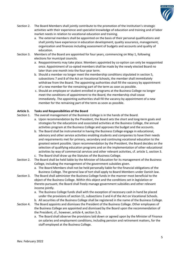

- Section 2. The Board Members shall jointly contribute to the promotion of the Institution's strategic activities with their experience and specialist knowledge of education and training and of labor market needs in relation to vocational education and training.
	- a. The external members shall be appointed on the basis of their personal qualifications and shall jointly have experience in education development, quality assurance, management, organization and finances including assessment of budgets and accounts and quality of education.
- Section 3. Members of the Board are appointed for four years, commencing on May 1, following elections for municipal councils.
	- a. Reappointments may take place. Members appointed by co-option can only be reappointed once. Appointment of co-opted members shall be made by the newly elected Board no later than one month into the four-year term.
	- b. Should a member no longer meet the membership conditions stipulated in section 5, subsections 7 and 8 of the Act on Vocational Schools, the member shall immediately withdraw from the Board. The appointing authorities shall fill the vacancy by appointment of a new member for the remaining part of the term as soon as possible.
	- c. Should an employee or student enrolled in programs at the Business College no longer meet the conditions of appointment to the Board, the membership shall cease immediately. The appointing authorities shall fill the vacancy by appointment of a new member for the remaining part of the term as soon as possible.

# **Article 3. Tasks and Responsibilities of the Board**

Section 1. The overall management of the Business College is in the hands of the Board.

- a. Upon recommendation by the President, the Board sets the short and long-term goals and strategies for the educations and associated activities at the Business College, the annual activities program at the Business College and approves the budget and the accounts.
- b. The Board shall be instrumental in having the Business College engage in educational, advisory and other service activities enabling students and companies to have their needs and requirements met for primary, secondary and continuing vocational education to the greatest extent possible. Upon recommendation by the President, the Board decides on the selection of qualifying education programs and on the implementation of other educational activities by way of commercial services and other relevant activities, cf. article 1, section 3.
- c. The Board shall draw up the Statutes of the Business College.
- Section 2. The Board shall be held liable by the Minister of Education for its management of the Business College, including the management of the government subsidies given.
	- a. The Board Members shall not be held personally liable for the financial obligations of the Business College. The general law of tort shall apply to Board Members under Danish law.
- Section 3. The Board shall administer the Business College funds in the manner most beneficial to the object of the Business College. Within this object and the conditions set in legislation or thereto pursuant, the Board shall freely manage government subsidies and other relevant income jointly.
	- a. The Business College funds shall with the exception of necessary cash in hand be placed under the provisions of section 11, subsections 3 and 4 of the Act on Vocational Schools.
	- b. All securities of the Business College shall be registered in the name of the Business College.
- Section 4. The Board appoints and dismisses the President of the Business College. Other employees of the Business College are appointed and dismissed by the Board upon the recommendation of the President, cf., however, article 4, section 3, b.
	- a. The Board shall observe the provisions laid down or agreed upon by the Minister of Finance on salaries and employment conditions, including pension and retirement matters, for the staff employed at the Business College.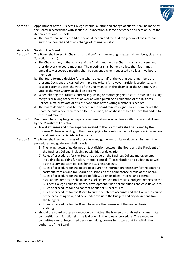

- Section 5. Appointment of the Business College internal auditor and change of auditor shall be made by the Board in accordance with section 26, subsection 3, second sentence and section 27 of the Act on Vocational Schools.
	- a. The Board shall notify the Ministry of Education and the auditor general of the internal auditor appointed and of any change of internal auditor.

# **Article 4. Work of the Board**

- Section 1. The Board shall select its Chairman and Vice-Chairman among its external members, cf. article 2, section 1, a., 1).
	- a. The Chairman or, in the absence of the Chairman, the Vice-Chairman shall convene and preside over the board meetings. The meetings shall be held no less than four times annually. Moreover, a meeting shall be convened when requested by a least two board members.
	- b. The Board forms a decisive forum when at least half of the voting board members are present. Decisions are carried by simple majority, cf., however, article 4, section 1, c. In case of parity of votes, the vote of the Chairman or, in the absence of the Chairman, the vote of the Vice-Chairman shall be decisive.
	- c. When altering the statutes, purchasing, selling or mortgaging real estate, or when pursuing mergers or hiving off activities as well as when pursuing a liquidation of the Business College, a majority vote of at least two thirds of the voting members is needed.
	- d. The board decisions shall be recorded in the board minutes signed by all members of the Board. Should a board member differ in opinion, he or she is entitled to have this added to the board minutes.
- Section 2. Board members may be given separate remuneration in accordance with the rules set down by the Ministry of Education.
	- a. Travel expenses and other expenses related to the Board tasks shall be carried by the Business College according to the rules applying to reimbursement of expenses incurred on official business by Danish civil servants.
- Section 3. The Board shall lay down rules of procedure and guidelines on its work. As a minimum, the procedures and guidelines shall include:
	- 1) The laying down of guidelines on task division between the Board and the President of the Business College, including possibilities of delegation.
	- 2) Rules of procedures for the Board to decide on the Business College management, including the auditing function, internal control, IT, organization and budgeting as well as the salary and staff policies for the Business College.
	- 3) Rules of procedure for the Board to acquire the information necessary for the Board to carry out its tasks and for Board discussions on the competence profile of the Board.
	- 4) Rules of procedure for the Board to follow up on its plans, internal and external evaluations, reports on the Business College educational results, budgets, reports on the Business College liquidity, activity development, financial conditions and cash flows, etc.
	- 5) Rules of procedure for and content of auditor's records, etc.
	- 6) Rules of procedure for the Board to audit the interim accounts and the like in the course of the accounting year, and hereunder evaluate the budgets and any deviations from the budgets.
	- 7) Rules of procedure for the Board to secure the presence of the needed basis for auditing.
	- a. Should the Board set up an executive committee, the framework of its establishment, its composition and function shall be laid down in the rules of procedure. The executive committee cannot be granted decision-making powers in matters that fall within the authority of the Board.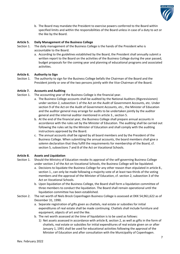

b. The Board may mandate the President to exercise powers conferred to the Board within specified limits and within the responsibilities of the Board unless in case of a duty to act or the like by the Board.

# **Article 5. Daily Management of the Business College**

- Section 1. The daily management of the Business College is the hands of the President who is accountable to the Board.
	- a. According to the guidelines established by the Board, the President shall annually submit a written report to the Board on the activities of the Business College during the year passed, budget proposals for the coming year and planning of educational programs and associated activities.

# **Article 6. Authority to Sign**

Section 1. The authority to sign for the Business College befalls the Chairman of the Board and the President jointly or one of the two persons jointly with the Vice-Chairman of the Board.

# **Article 7. Accounts and Auditing**

- Section 1. The accounting year of the Business College is the financial year.
	- a. The Business College accounts shall be audited by the National Auditors (Rigsrevisionen) under section 2, subsection 1 of the Act on the Audit of Government Accounts, etc. Under section 9 of the Act on the Audit of Government Accounts, etc., the Minister of Education and the auditor general may arrange for audits to be undertaken jointly by the auditor general and the internal auditor mentioned in article 3., section 5.
	- b. At the end of the financial year, the Business College shall prepare annual accounts in accordance with the rules set by the Minister of Education. The auditing shall be carried out following the rules set by the Minister of Education and shall comply with the auditing instructions approved by the Board.
	- c. The annual accounts shall be signed by all board members and by the President of the Business College. When submitting the annual accounts, the board members shall give a solemn declaration that they fulfill the requirements for membership of the Board, cf. section 5, subsections 7 and 8 of the Act on Vocational Schools.

# **Article 8. Assets and Liquidation**

- Section 1. Should the Ministry of Education revoke its approval of the self-governing Business College under section 2 of the Act on Vocational Schools, the Business College will be liquidated.
	- a. Decisions to liquidate the Business College for any other reason than stipulated in article 8., section 1., can only be made following a majority vote of at least two thirds of the voting members and the approval of the Minister of Education, cf. section 2, subsection 3 of the Act on Vocational Schools.
	- b. Upon liquidation of the Business College, the Board shall form a liquidation committee of three members to conduct the liquidation. The Board shall remain operational until the liquidation committee has been established.
- Section 2. The net worth of Niels Brock Copenhagen Business College is assessed at DKK 54,961,622 as of December 31, 1990.
	- a. Separate registration of gifts given as chattels, real estate or subsidies for initial expenditures of real estate shall be made continuing. Chattels shall include furniture and equipment, objects of art and the like.
	- b. The net worth assessed at the time of liquidation is to be used as follows:
		- 1) Net assets assessed in accordance with article 8, section 2, as well as gifts in the form of chattels, real estate or subsidies for initial expenditures of real estate given on or after January 1, 1991 shall be used for educational activities following the approval of the Minister of Education and after consultation with the Municipality of Copenhagen.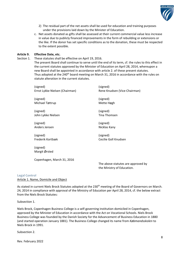

- 2) The residual part of the net assets shall be used for education and training purposes under the provisions laid down by the Minister of Education.
- c. Net assets donated as gifts shall be assessed at their current commercial value less increase in value due to publicly financed improvements in the form of rebuilding or extensions or the like. If the donor has set specific conditions as to the donation, these must be respected to the extent possible.

# **Article 9. Effective Date, etc.**

Section 1. These statutes shall be effective on April 19, 2016.

The present Board shall continue to serve until the end of its term, cf. the rules to this effect in the current statutes approved by the Minister of Education on April 28, 2014, whereupon a new Board shall be appointed in accordance with article 2. of these present statutes. Thus adopted at the 240<sup>th</sup> board meeting on March 31, 2016 in accordance with the rules on statute alteration in the current statutes.

| (signed)                       | (signed)                        |
|--------------------------------|---------------------------------|
| Ernst Lykke Nielsen (Chairman) | Rene Knudsen (Vice-Chairman)    |
| (signed)                       | (signed)                        |
| Michael Tøttrup                | Mette Høgh                      |
| (signed)                       | (signed)                        |
| John Lykke Nielsen             | Tina Thomsen                    |
| (signed)                       | (signed)                        |
| Anders Jensen                  | Nicklas Kany                    |
| (signed)                       | (signed)                        |
| Frederik Kortbæk               | Cecilie Goll Knudsen            |
| (signed)<br>Margit Ørsted      |                                 |
| Copenhagen, March 31, 2016     | The ahove statutes are annrover |

The above statutes are approved by the Ministry of Education.

## **Legal Control**

# Article 1. Name, Domicile and Object

As stated in current Niels Brock Statutes adopted at the 230<sup>th</sup> meeting of the Board of Governors on March. 24, 2014 in compliance with approval of the Ministry of Education per April 28, 2014, cf. the below extract from the Niels Brock Statutes:

Subsection 1.

Niels Brock, Copenhagen Business College is a self-governing institution domiciled in Copenhagen, approved by the Minister of Education in accordance with the Act on Vocational Schools. Niels Brock Business College was founded by the Danish Society for the Advancement of Business Education in 1880 (and started operation January 1881). The Business College changed its name from *Købmandsskolen* to Niels Brock in 1991.

Subsection 2.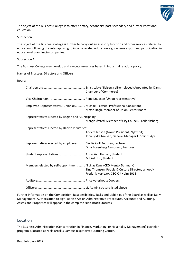

The object of the Business College is to offer primary, secondary, post-secondary and further vocational education.

Subsection 3.

The object of the Business College is further to carry out an advisory function and other services related to education following the rules applying to income related education e.g. systems export and participation in educational planning in companies.

Subsection 4.

The Business College may develop and execute measures based in industrial relations policy.

Names of Trustees, Directors and Officers:

Board:

|                                                                        | <b>Chamber of Commerce)</b>                                                                                              |
|------------------------------------------------------------------------|--------------------------------------------------------------------------------------------------------------------------|
|                                                                        |                                                                                                                          |
|                                                                        | Employee Representatives (Unions):  Michael Tøttrup, Professional Consultant<br>Mette Høgh, Member of Union Center Board |
| Representatives Elected by Region and Municipality:                    | Margit Ørsted, Member of City Council, Frederiksberg                                                                     |
| Representatives Elected by Danish Industries:                          | Anders Jensen (Group President, Nykredit)<br>John Lykke Nielsen, General Manager FLSmidth A/S                            |
| Representatives elected by employees:  Cecilie Goll Knudsen, Lecturer  | Dina Rosenberg Asmussen, Lecturer                                                                                        |
| Student representatives Anna Xian Hansen, Student                      | Mikkel Lind, Student                                                                                                     |
| Members elected by self-appointment:  Nicklas Kany (CEO MentorDanmark) | Tina Thomsen, People & Culture Director, synoptik<br>Frederik Kortbæk, CEO CJ Holm 2013                                  |
|                                                                        |                                                                                                                          |
|                                                                        |                                                                                                                          |

Further information on the Composition, Responsibilities, Tasks and Liabilities of the Board as well as Daily Management, Authorization to Sign, Danish Act on Administrative Procedures, Accounts and Auditing, Assets and Properties will appear in the complete Niels Brock Statutes.

# **Location**

The Business Administration (Concentration in Finance, Marketing, or Hospitality Management) bachelor program is located at Niels Brock's Campus Bispetorvet Learning Center.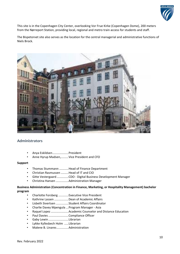

This site is in the Copenhagen City Center, overlooking Vor Frue Kirke (Copenhagen Dome), 200 meters from the Nørreport Station, providing local, regional and metro train access for students and staff.

The Bispetorvet site also serves as the location for the central managerial and administrative functions of Niels Brock.



# **Administrators**

- Anya Eskildsen................... President
- Anne Hyrup Madsen,.........Vice President and CFO

## **Support**

- Thomas Stummann ...........Head of Finance Department
- Christian Rasmussen .........Head of IT and CIO
- Gitte Vestergaard ..............CDO Digital Business Development Manager
- Christina Hansen ...............Administration Manager

**Business Administration (Concentration in Finance, Marketing, or Hospitality Management) bachelor program** 

- Charlotte Forsberg ............Executive Vice President
- Kathrine Lassen .................Dean of Academic Affairs
- Lisbeth Sivertsen ...............Student Affairs Coordinator
- Charlie Davey Mpengula ...Program Manager Asia
- Raquel Lopez.....................Academic Counselor and Distance Education
- Paul Davies........................Compliance Officer
- Gaby Lewin........................ Librarian
- Lykke Kyllesbech Holm ..... Librarian
- Malene B. Linares..............Administration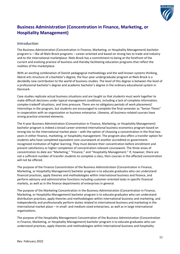

# **Business Administration (Concentration in Finance, Marketing, or Hospitality Management)**

# **Introduction**

The Business Administration (Concentration in Finance, Marketing, or Hospitality Management) bachelor program is – like all Niels Brock programs – career-oriented and based on strong ties to trade and industry and to the international marketplace. Niels Brock has a commitment to being at the forefront of the current and evolving practice of business and thereby facilitating education programs that reflect the realities of the marketplace.

With an exciting combination of Danish pedagogical methodology and the well-known systems thinking, liberal arts structure of a bachelor's degree, the four-year undergraduate program at Niels Brock is a decidedly new contribution to the world of business studies. The level of this degree is between the level of a professional bachelor's degree and academic bachelor's degree in the ordinary educational system in Denmark.

Case studies replicate actual business situations and are taught so that students must work together to make difficult decisions under typical management conditions, including a lack of complete information, complex tradeoff situations, and time pressure. There are no obligatory periods of work placement/ internships in the program, but students are encouraged to complete the final semester as "Senior Thesis" in cooperation with an organization or business enterprise. Likewise, all business-related courses have strong practice-oriented elements.

The 4-year Business Administration (Concentration in Finance, Marketing, or Hospitality Management) bachelor program is indeed a broad career-oriented international business economics program based on strong ties to the international market place – with the option of choosing a concentration in the final two years in either finance, marketing, or hospitality management. The program also offers a transfer option for students who have completed equivalent core coursework at another accredited or governmentrecognized institution of higher learning. They must declare their concentration before enrollment and present satisfactory or higher completion of concentration-relevant coursework. The three areas of concentration to date are "Marketing," "Finance," and "Hospitality Management." If, however, there are not a sufficient number of transfer students to complete a class, then courses in the affected concentration will not be offered.

The purpose of the Finance Concentration of the Business Administration (Concentration in Finance, Marketing, or Hospitality Management) bachelor program is to educate graduates who can understand financial practices, apply theories and methodologies within international business and finance, and perform advisory and administrative functions including customer-oriented tasks in specific financial markets, as well as in the finance departments of enterprises in general.

The purpose of the Marketing Concentration in the Business Administration (Concentration in Finance, Marketing, or Hospitality Management) bachelor program is to educate graduates who can understand distribution practices, apply theories and methodologies within international business and marketing, and independently and professionally perform duties related to international business and marketing in the international market place – in small- and medium-sized enterprises, as well as in large international organizations.

The purpose of the Hospitality Management Concentration of the Business Administration (Concentration in Finance, Marketing, or Hospitality Management) bachelor program is to educate graduates who can understand practices, apply theories and methodologies within international business and hospitality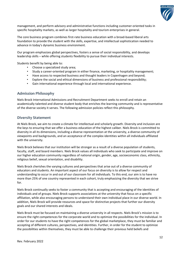

management, and perform advisory and administrative functions including customer-oriented tasks in specific hospitality markets, as well as larger hospitality and tourism enterprises in general.

The core business program combines first-rate business education with a broad-based liberal arts foundation to provide the student with the skills, expertise, and intellectual sophistication needed to advance in today's dynamic business environment.

Our program emphasizes global perspectives, fosters a sense of social responsibility, and develops leadership skills – while offering students flexibility to pursue their individual interests.

Students benefit by being able to:

- Choose a specialized study area;
- Study a career-oriented program in either finance, marketing, or hospitality management;
- Have access to respected business and thought leaders in Copenhagen and beyond;
- Explore the social and ethical dimensions of business and professional responsibility;
- Gain international experience through local and international experience.

# **Admission Philosophy**

Niels Brock International Admissions and Recruitment Department seeks to enroll and retain an academically talented and diverse student body that enriches the learning community and is representative of the diverse society it serves. The following admission policies reflect this philosophy.

# **Diversity Statement**

At Niels Brock, we aim to create a climate for intellectual and scholarly growth. Diversity and inclusion are the keys to ensuring that we offer a business education of the highest caliber. Niels Brock is committed to diversity in all its dimensions, including a diverse representation at the university, a diverse community of viewpoints and backgrounds, and an acceptance of the complex identities within all individuals affiliated with the university.

Niels Brock believes that our institution will be stronger as a result of a diverse population of students, faculty, staff, and board members. Niels Brock values all individuals who seek to participate and improve on our higher education community regardless of national origin, gender, age, socioeconomic class, ethnicity, religious belief, sexual orientation, and disability.

Niels Brock cherishes the varying cultures and perspectives that arise out of a diverse community of educators and students. An important aspect of our focus on diversity is to allow for respect and understanding to occur in and out of our classroom for all individuals. To this end, our aim is to have no more than 25% of one country represented in each cohort, truly emphasizing the diversity that we strive for.

Niels Brock continually seeks to foster a community that is accepting and encouraging of the identities of individuals and of groups. Niels Brock supports associations at the university that focus on a specific affiliation, while also encouraging persons to understand their own individual place in our diverse world. In addition, Niels Brock will provide resources and space for distinctive projects that further our diversity goals and our shared interests and ideals.

Niels Brock must be focused on maintaining a diverse university in all respects. Niels Brock's mission is to ensure the right competences for the corporate world and to optimize the possibilities for the individual. In order for our students to have the right competences for the global marketplace, they must be familiar and accepting of different cultures, perspectives, and identities. Further, in order for the student to optimize the possibilities within themselves, they must be able to challenge their previous held beliefs and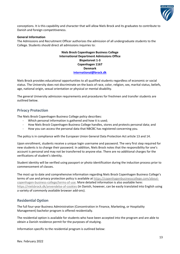

conceptions. It is this capability and character that will allow Niels Brock and its graduates to contribute to Danish and foreign competitiveness.

# **General Information**

The Admissions and Recruitment Officer authorizes the admission of all undergraduate students to the College. Students should direct all admissions inquiries to:

# **Niels Brock Copenhagen Business College International Department Admissions Office Bispetorvet 1-3 Copenhagen 1167 Denmark [international@brock.dk](mailto:international@brock.dk)**

Niels Brock provides educational opportunities to all qualified students regardless of economic or social status. The University does not discriminate on the basis of race, color, religion, sex, marital status, beliefs, age, national origin, sexual orientation or physical or mental disability.

The general University admission requirements and procedures for freshmen and transfer students are outlined below.

# **Privacy Protection**

The Niels Brock Copenhagen Business College policy describes:

- Which personal information is gathered and how it is used;
- How Niels Brock Copenhagen Business College handles, stores and protects personal data; and
- How you can access the personal data that NBCBC has registered concerning you.

The policy is in compliance with the European Union General Data Protection Act article 13 and 14.

Upon enrollment, students receive a unique login username and password. The very first step required for new students is to change their password. In addition, Niels Brock notes that the responsibility for one's account is personal and may not be transferred to anyone else. There are no additional charges for the verifications of student's identity.

Student identity will be verified using passport or photo identification during the induction process prior to commencement of classes.

The most up to date and comprehensive information regarding Niels Brock Copenhagen Business College's terms of use and privacy protection policy is available at [https://copenhagenbusinesscollege.com/about](https://copenhagenbusinesscollege.com/about-copenhagen-business-college/terms-of-use)[copenhagen-business-college/terms-of-use.](https://copenhagenbusinesscollege.com/about-copenhagen-business-college/terms-of-use) More detailed information is also available here: <https://nielsbrock.dk/anvendelse-af-cookies> (in Danish, however, can be easily translated into English using a variety of commonly available browser add-ons).

# <span id="page-15-0"></span>**Residential Option**

The full four-year Business Administration (Concentration in Finance, Marketing, or Hospitality Management) bachelor program is offered residentially.

The residential option is available for students who have been accepted into the program and are able to obtain a Danish residence permit for the purposes of studying.

Information specific to the residential program is outlined below: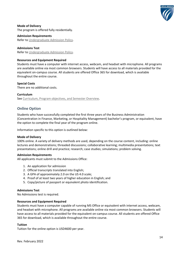

**Mode of Delivery** The program is offered fully residentially.

**Admission Requirements** Refer to [Undergraduate Admission Policy.](#page-15-0)

# **Admissions Test**

Refer to [Undergraduate Admission Policy.](#page-15-0)

# **Resources and Equipment Required**

Students must have a computer with internet access, webcam, and headset with microphone. All programs are available online via most common browsers. Students will have access to all materials provided for the equivalent on-campus course. All students are offered Office 365 for download, which is available throughout the entire course.

# **Special Costs**

There are no additional costs.

# **Curriculum**

See [Curriculum, Program objectives, and Semester Overview.](#page-40-0)

# **Online Option**

Students who have successfully completed the first three years of the Business Administration (Concentration in Finance, Marketing, or Hospitality Management) bachelor's program, or equivalent, have the option to complete the final year of the program online.

Information specific to this option is outlined below:

# **Mode of Delivery**

100% online. A variety of delivery methods are used, depending on the course content, including: online lectures and demonstrations; threaded discussions; collaborative learning; multimedia presentations; text presentations; online drill and practice; research; case studies; simulations; problem solving.

# **Admission Requirements**

All applicants must submit to the Admissions Office:

- 1. An application for admission
- 2. Official transcripts translated into English;
- 3. A GPA of approximately 2.0 on the US 4.0 scale;
- 4. Proof of at least two years of higher education in English; and
- 5. Copy/picture of passport or equivalent photo identification.

# **Admissions Test**

No Admissions test is required.

# **Resources and Equipment Required**

Students must have a computer capable of running MS Office or equivalent with internet access, webcam, and headset with microphone. All programs are available online via most common browsers. Students will have access to all materials provided for the equivalent on-campus course. All students are offered Office 365 for download, which is available throughout the entire course.

# **Tuition**

Tuition for the online option is USD4600 per year.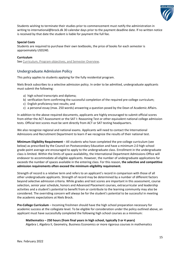

Students wishing to terminate their studies prior to commencement must notify the administration in writing to international@brock.dk 30 calendar days prior to the payment deadline date. lf no written notice is received by that date the student is liable for payment the full fee.

# **Special Costs**

Students are required to purchase their own textbooks, the price of books for each semester is approximately USD240.

# **Curriculum**

See [Curriculum, Program objectives, and Semester Overview.](#page-40-0)

# **Undergraduate Admission Policy**

This policy applies to students applying for the fully residential program.

Niels Brock subscribes to a selective admission policy. In order to be admitted, undergraduate applicants must submit the following:

- a) high school transcripts and diploma;
- b) verification form confirming the successful completion of the required pre-college curriculum;
- c) English proficiency test results; and
- c) a personal essay (max. 250 words) answering a question posed by the Dean of Academic Affairs.

In addition to the above required documents, applicants are highly encouraged to submit official scores from either the ACT Assessment or the SAT I: Reasoning Test or other equivalent national college admission tests. Official test scores must be sent directly from ACT or SAT testing headquarters.

We also recognize regional and national exams. Applicants will need to contact the International Admissions and Recruitment Department to learn if we recognize the results of their national test.

**Minimum Eligibility Requirement** – All students who have completed the pre-college curriculum (see below) as prescribed by the Council on Postsecondary Education and have a minimum 2.0 high school grade-point average are encouraged to apply to the undergraduate class. Enrollment in the undergraduate class is limited. Within the limits of space availability, the International Department Admissions Office will endeavor to accommodate all eligible applicants. However, the number of undergraduate applications far exceeds the number of spaces available in the entering class. For this reason, **the selective and competitive admission requirements often exceed the minimum eligibility requirement.**

Strength of record is a relative term and refers to an applicant's record in comparison with those of all other undergraduate applicants. Strength of record may be determined by a number of different factors beyond selective admission criteria. While grades and test scores are important in this assessment, course selection, senior year schedule, honors and Advanced Placement courses, extracurricular and leadership activities and a student's potential to benefit from or contribute to the learning community may also be considered. The overriding concern will always be for the student's potential to be successful in meeting the academic expectations at Niels Brock.

**Pre-College Curriculum** – Incoming freshmen should have the high school preparation necessary for academic success at the collegiate level. To be eligible for consideration under the policy outlined above, an applicant must have successfully completed the following high school courses as a minimum:

**Mathematics – 250 hours (from final years in high school, typically 3 or 4 years)**

Algebra I, Algebra II, Geometry, Business Economics or more rigorous courses in mathematics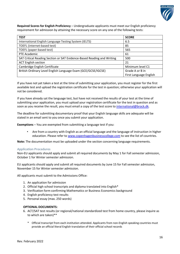

**Required Scores for English Proficiency** – Undergraduate applicants must meet our English proficiency requirement for admission by attaining the necessary score on any one of the following tests:

| <b>TEST</b>                                                            | <b>SCORE</b>           |
|------------------------------------------------------------------------|------------------------|
| International English Language Testing System (IELTS)                  | 6.5                    |
| TOEFL (internet-based test)                                            | 85                     |
| TOEFL (paper-based test)                                               | 565                    |
| PTE Academic                                                           | 61                     |
| SAT Critical Reading Section or SAT Evidence-Based Reading and Writing | 500                    |
| <b>ACT English section</b>                                             | 21                     |
| Cambridge English Certificate                                          | Minimum level C1       |
| British Ordinary Level English Language Exam (GCE/GCSE/IGCSE)          | Grade A or B in        |
|                                                                        | First Language English |

If you have not yet taken a test at the time of submitting your application, you must register for the first available test and upload the registration certificate for the test in question; otherwise your application will not be considered.

If you have already sat the language test, but have not received the results of your test at the time of submitting your application, you must upload your registration certificate for the test in question and as soon as you receive the result, you must email a copy of the test score to [international@brock.dk.](mailto:international@brock.dk)

The deadline for submitting documentary proof that your English language skills are adequate will be stated in an email sent to you once you submit your application.

**Exemptions** – You are exempted from submitting a language test if you:

• Are from a country with English as an official language and the language of instruction in higher education. Please refer t[o www.copenhagenbusinesscollege.com](http://www.copenhagenbusinesscollege.com/higher-education/american-bsc-in-business-administration/) to see the list of countries.

**Note:** The documentation must be uploaded under the section concerning language requirements.

# **Application Procedures**

Non-EU applicants should apply and submit all required documents by May 1 for Fall semester admission, October 1 for Winter semester admission.

EU applicants should apply and submit all required documents by June 15 for Fall semester admission, November 15 for Winter semester admission.

All applicants must submit to the Admissions Office:

- 1. An application for admission
- 2. Official high school transcripts and diploma translated into English\*
- 3. Verification form confirming Mathematics or Business Economics background
- 4. English proficiency test results
- 5. Personal essay (max. 250 words)

## **OPTIONAL DOCUMENTS:**

- 6. ACT/SAT test results (or regional/national standardized test from home country, please inquire as to which are taken)\*\*
	- Official transcript from each institution attended. Applicants from non-English speaking countries must provide an official literal English translation of their official school records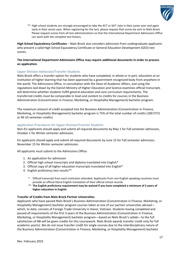

\*\* High school students are strongly encouraged to take the ACT or SAT I late in their junior year and again early in their senior year. When registering for the test, please request that scores be sent to Niels Brock. Please request scores from all test administrations so that the International Department Admissions Office can work with the complete test history.

**High School Equivalency Certificates** – Niels Brock also considers admission from undergraduate applicants who present a valid High School Equivalency Certificate or General Education Development (GED) test scores.

# **The International Department Admissions Office may require additional documents in order to process an application.**

# **Upper Division Admission/Transfer Students**

Niels Brock offers a transfer option for students who have completed, in whole or in part, education at an institution of higher learning that has been approved by a government recognized body from anywhere in the world. The Admissions Office, in consultation with the Dean of Academic Affairs, and using the regulations laid down by the Danish Ministry of Higher Education and Science examines official transcripts will determine whether students fulfill general education and core curriculum requirements. The transferred credits must be comparable in level and content to credits for courses in the Business Administration (Concentration in Finance, Marketing, or Hospitality Management) bachelor program.

The maximum amount of credit accepted into the Business Administration (Concentration in Finance, Marketing, or Hospitality Management) bachelor program is 75% of the total number of credits (180 ETCS or 96 US semester credits)

# **Application Procedures for Upper Division/Transfer Students**

Non-EU applicants should apply and submit all required documents by May 1 for Fall semester admission, October 1 for Winter semester admission.

EU applicants should apply and submit all required documents by June 15 for Fall semester admission, November 15 for Winter semester admission.

All applicants must submit to the Admissions Office:

- 1. An application for admission
- 2. Official high school transcripts and diploma translated into English\*
- 3. Official copy of all higher education transcripts translated into English\*
- 4. English proficiency test results\*\*
	- \* Official transcript from each institution attended. Applicants from non-English speaking countries must provide an official literal English translation of their official school records
	- \*\* **The English proficiency requirement may be waived if you have completed a minimum of 2 years of higher education in English.**

## **Transfer of Credits from Niels Brock Partner Universities**

Applicants who have passed Niels Brock's Business Administration (Concentration in Finance, Marketing, or Hospitality Management) bachelor program courses taken at one of our partner universities abroad which, to date, consists of Foreign Trade University in Hanoi, Vietnam. Students having completed and passed all requirements of the first 3 years of the Business Administration (Concentration in Finance, Marketing, or Hospitality Management) bachelor program—based on Niels Brock's syllabi—to the full satisfaction of NB will be given credits for this coursework. Niels Brock awards transfer credit only for full academic year(s). We do not issue transfer credit for single courses due to the interdisciplinary nature of the Business Administration (Concentration in Finance, Marketing, or Hospitality Management) bachelor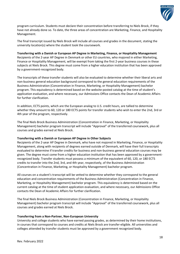

program curriculum. Students must declare their concentration before transferring to Niels Brock, if they have not already done so. To date, the three areas of concentration are Marketing, Finance, and Hospitality Management.

The final transcript issued by Niels Brock will include all courses and grades in the document, stating the university location(s) where the student took the coursework.

**Transferring with a Danish or European AP Degree in Marketing, Finance, or Hospitality Management** Recipients of the 2-year AP Degree in Denmark or other EU countries, who majored in either Marketing, Finance or Hospitality Management, will be exempt from taking the first 2-year business courses in these subjects at Niels Brock. This degree must come from a higher education institution that has been approved by a government-recognized body.

The transcripts of these transfer students will also be evaluated to determine whether their liberal arts and non-business general education background correspond to the general education requirements of the Business Administration (Concentration in Finance, Marketing, or Hospitality Management) bachelor program. This equivalency is determined based on the website-posted catalog at the time of student's application evaluation, and where necessary, our Admissions Office contacts the Dean of Academic Affairs for further clarification.

In addition, ECTS points, which are the European analog to U.S. credit hours, are tallied to determine whether they amount to 60, 120 or 180 ECTS points for transfer students who wish to enter the 2nd, 3rd or 4th year of the program, respectively.

The final Niels Brock Business Administration (Concentration in Finance, Marketing, or Hospitality Management) bachelor program transcript will include "Approval" of the transferred coursework, plus all courses and grades earned at Niels Brock.

# **Transferring with a Danish or European AP Degree in Other Subjects**

Recipients of the 2-year AP Degree in Denmark, who have not majored in Marketing, Finance, or Hospitality Management, along with recipients of degrees earned outside of Denmark, will have their full transcripts evaluated to determine if transfer credits for business and non-business general education courses may be given. The degree must come from a higher education institution that has been approved by a governmentrecognized body. Transfer students must possess a minimum of the equivalent of 60, 120, or 180 ECTS credits to transfer into the 2nd, 3rd, and 4th year, respectively, of the Business Administration (Concentration in Finance, Marketing, or Hospitality Management) bachelor program.

All courses on a student's transcript will be vetted to determine whether they correspond to the general education and concentration requirements of the Business Administration (Concentration in Finance, Marketing, or Hospitality Management) bachelor program. This equivalency is determined based on the current catalog at the time of student application evaluation, and where necessary, our Admissions Office contacts the Dean of Academic Affairs for further clarification.

The final Niels Brock Business Administration (Concentration in Finance, Marketing, or Hospitality Management) bachelor program transcript will include "Approval" of the transferred coursework, plus all courses and grades earned at Niels Brock.

## **Transferring from a Non-Partner, Non-European University**

University and college students who have earned passing grades, as determined by their home institutions, in courses that correspond to courses and credits at Niels Brock are transfer-eligible. All universities and colleges attended by transfer students must be approved by a government recognized body.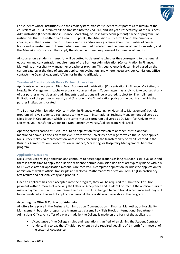

For students whose institutions use the credit system, transfer students must possess a minimum of the equivalent of 32, 64, or 96 credits to transfer into the 2nd, 3rd, and 4th year, respectively, of the Business Administration (Concentration in Finance, Marketing, or Hospitality Management) bachelor program. For institutions that use neither credits nor ECTS points, the Admissions Officer will count the number of courses, and then consult the institution's website and/or seek guidance about the number of contact hours and semester length. These metrics are then used to determine the number of credits awarded, and the Admissions Officer can then apply the abovementioned requirement for number of credits.

All courses on a student's transcript will be vetted to determine whether they correspond to the general education and concentration requirements of the Business Administration (Concentration in Finance, Marketing, or Hospitality Management) bachelor program. This equivalency is determined based on the current catalog at the time of student application evaluation, and where necessary, our Admissions Office contacts the Dean of Academic Affairs for further clarification.

# **Transfer of Credits to Niels Brock Partner Universities**

Applicants who have passed Niels Brock Business Administration (Concentration in Finance, Marketing, or Hospitality Management) bachelor program courses taken in Copenhagen may apply to take courses at any of our partner universities abroad. Students' applications will be accepted, subject to (1) enrollment limitations of the partner university and (2) student visa/immigration policy of the country in which the partner institution is located.

The Business Administration (Concentration in Finance, Marketing, or Hospitality Management) bachelor program will give students direct access to the M.Sc. in International Business Management delivered at Niels Brock in Copenhagen which is the same Master's program delivered at De Montfort University in Leicester, UK. Transfer of Credits to a Non-Partner University/College from Niels Brock

Applying credits earned at Niels Brock to an application for admission to another institution than mentioned above is a decision made exclusively by the university or college to which the student applies. Niels Brock makes no representation whatsoever concerning the transferability of credits earned in the Business Administration (Concentration in Finance, Marketing, or Hospitality Management) bachelor program.

# **Application Decisions**

Niels Brock uses rolling admission and continues to accept applications as long as space is still available and there is ample time to apply for a Danish residence permit. Admission decisions are typically made within 8 to 12 weeks after all application materials are received. A complete application includes the application for admission as well as official transcripts and diploma, Mathematics Verification Form, English proficiency test results and personal essay and proof if id.

Once an applicant has been accepted into the program, they will be required to submit the  $1<sup>st</sup>$  tuition payment within 1 month of receiving the Letter of Acceptance and Student Contract. If the applicant fails to make a payment within this timeframe, their status will be changed to conditional acceptance and they will be reconsidered at the end of application period if there is still room available in the program.

# **Accepting the Offer & Contract of Admission**

All offers for a place in the Business Administration (Concentration in Finance, Marketing, or Hospitality Management) bachelor program are transmitted via email by Niels Brock's International Department Admissions Office. Any offer of a place made by the College is made on the basis of the applicant's:

- Acceptance of the College's rules and regulations signified when signing the Student Contract
- Undertaking to pay the 1<sup>st</sup> tuition payment by the required deadline of 1 month from receipt of the Letter of Acceptance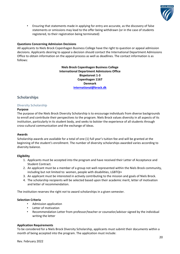

• Ensuring that statements made in applying for entry are accurate, as the discovery of false statements or omissions may lead to the offer being withdrawn (or in the case of students registered, to their registration being terminated)

# **Questions Concerning Admission Decisions**

All applicants to Niels Brock Copenhagen Business College have the right to question or appeal admission decisions. Applicants desiring to appeal a decision should contact the International Department Admissions Office to obtain information on the appeal process as well as deadlines. The contact information is as follows:

> **Niels Brock Copenhagen Business College International Department Admissions Office Bispetorvet 1-3 Copenhagen 1167 Denmark [international@brock.dk](mailto:international@brock.dk)**

# **Scholarships**

# **Diversity Scholarship**

# **Purpose**

The purpose of the Niels Brock Diversity Scholarship is to encourage individuals from diverse backgrounds to enroll and contribute their perspectives to the program. Niels Brock values diversity in all aspects of its institution, particularly in its student body, and seeks to bolster the experience of all students through cross-cultural communication and the exchange of ideas.

# **Awards**

Scholarship awards are available for a total of one (1) full year's tuition fee and will be granted at the beginning of the student's enrollment. The number of diversity scholarships awarded varies according to diversity balance.

# **Eligibility**

- 1. Applicants must be accepted into the program and have received their Letter of Acceptance and Student Contract.
- 2. An applicant must be a member of a group not well-represented within the Niels Brock community, including but not limited to: women, people with disabilities, LGBTQI+
- 3. An applicant must be interested in actively contributing to the mission and goals of Niels Brock.
- 4. The scholarship recipients will be selected based upon their academic merit, letter of motivation and letter of recommendation.

The institution reserves the right *not* to award scholarships in a given semester.

# **Selection Criteria**

- Admission application
- Letter of motivation
- Recommendation Letter from professor/teacher or counselor/advisor signed by the individual writing the letter

# **Application Requirements**

To be considered for a Niels Brock Diversity Scholarship, applicants must submit their documents within a month of being accepted into the program. The application must include: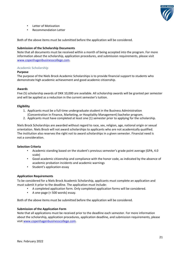

- Letter of Motivation
- Recommendation Letter

Both of the above items must be submitted before the application will be considered.

# **Submission of the Scholarship Documents**

Note that all documents must be received within a month of being accepted into the program. For more information about the scholarship, application procedures, and submission requirements, please visit [www.copenhagenbusinesscollege.com.](http://www.copenhagenbusinesscollege.com/higher-education/american-bsc-in-business-administration/)

# **Academic Scholarship**

# **Purpose**

The purpose of the Niels Brock Academic Scholarships is to provide financial support to students who demonstrate high academic achievement and good academic citizenship.

# **Awards**

Five (5) scholarship awards of DKK 10,000 are available. All scholarship awards will be granted per semester and will be applied as a reduction in the current semester's tuition.

# **Eligibility**

- 1. Applicants must be a full-time undergraduate student in the Business Administration (Concentration in Finance, Marketing, or Hospitality Management) bachelor program.
- 2. Applicants must have completed at least one (1) semester prior to applying for the scholarship.

Niels Brock Scholarships are awarded without regard to race, sex, religion, age, national origin or sexual orientation. Niels Brock will not award scholarships to applicants who are not academically qualified. The institution also reserves the right not to award scholarships in a given semester. Financial need is not a consideration.

# **Selection Criteria**

- Academic standing based on the student's previous semester's grade point average (GPA, 4.0 scale)
- Good academic citizenship and compliance with the honor code, as indicated by the absence of academic probation incidents and academic warnings
- Student's application essay

# **Application Requirements**

To be considered for a Niels Brock Academic Scholarship, applicants must complete an application and must submit it prior to the deadline. The application must include:

- A completed application form. Only completed application forms will be considered.
- A one-page (< 500 words) essay.

Both of the above items must be submitted before the application will be considered.

# **Submission of the Application Form**

Note that all applications must be received prior to the deadline each semester. For more information about the scholarship, application procedures, application deadline, and submission requirements, please visit [www.copenhagenbusinesscollege.com.](http://www.copenhagenbusinesscollege.com/higher-education/american-bsc-in-business-administration/)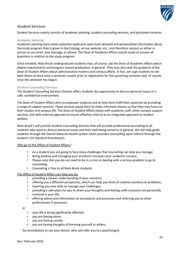

# **Student Services**

Student Services mainly consists of academic advising, student counseling services, and placement services.

# **Academic Advising**

Academic advising starts when potential applicants seek more detailed and personalized information about the study program than is given in the Catalog, on our website, etc., and therefore contact us either in person or via email, text message, or phone. The Dean of Academic Affairs stands ready to answer all questions in relation to the study program.

Once enrolled, Niels Brock undergraduate students may, of course, ask the Dean of Academic Affairs about degree requirements and progress toward graduation, in general. They may also seek the guidance of the Dean of Student Affairs about administrative matters and campus affairs. In fact, we urge students to see both Deans at least once a semester usually prior to registration for the upcoming semester and, of course, once the semester has begun.

# **Student Counseling Services**

The Student Counseling Services Division offers students the opportunity to discuss personal issues in a safe, confidential environment.

The Dean of Student Affairs aims to empower students and to help them fulfill their potential by providing a range of support services. These services equip them to make informed choices so that they may focus on their studies and campus life. The Dean of Student Affairs liaises with academic staff, other campus support services, and with external agencies to ensure effective referral as an integrated approach to student welfare.

Niels Brock's will provide Student Counseling Services that will provide professional counseling to all students who want to discuss personal issues and their well-being concerns in general. We will help guide students through the Danish National Health system which provides counselling upon referral through the student's GP (General Practitioner).

# Why go to the Office of Student Affairs?

- As a student you are going to face many challenges that counseling can help you manage;
- Being positive and managing your emotions increases your academic success;
- Please note that you do not need to be in a crisis or dealing with a serious problem to go to counseling.
- Counseling is free to all Niels Brock students.

# The Office of Student Affairs can help you by:

- providing a clearer understanding of your concerns;
- offering you a different perspective, which can help you think of creative solutions to problems;
- teaching you new skills to manage your challenges;
- providing a safe place for you to share your thoughts and feelings with someone not personally involved in your life;
- offering advice and information on procedures and processes and referring you to other professionals if necessary.

If:

- your life is being significantly affected;
- you are feeling alone;
- you are feeling unsafe;
- you are having thoughts of harming yourself or others,

Go immediately to see your doctor, who will refer you to a psychologist.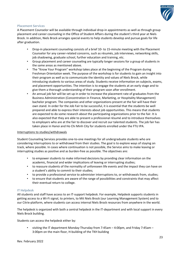

# **Placement Services**

A Placement Counselor will be available through individual drop-in appointments as well as through group placement and career counseling in the Office of Student Affairs during the student's third year at Niels Brock. In addition, Niels Brock arranges special events to help students develop and pursue goals for life after graduation.

- Drop-in placement counseling consists of a brief 10- to 15-minute meeting with the Placement Counselor for any career-related concerns, such as résumés, job interviews, networking skills, job shadowing, graduate school, further education and training, etc.
- Group placement and career counseling are typically longer sessions for a group of students in the same areas as mentioned above.
- The "Know Your Program" workshop takes place at the beginning of the Program during Freshman Orientation week. The purpose of the workshop is for students to gain an insight into their program as well as to communicate the identity and values of Niels Brock, while introducing students to various areas of study. Students receive information on subjects, exams, and placement opportunities. The intention is to engage the students at an early stage and to give them a thorough understanding of their program soon after enrollment.
- An annual job fair will be set up in order to increase the placement rate of graduates from the Business Administration (Concentration in Finance, Marketing, or Hospitality Management) bachelor program. The companies and other organizations present at the fair will have their own stand. In order for the Job Fair to be successful, it is essential that the students be well prepared and able to express their interests about job opportunities. This means that students are expected to do some research about the participating organizations prior to the fair. It is also expected that they are able to present a professional résumé and to introduce themselves to employers who are at the fair to discover and recruit our talented students. The job fair has taken place in Hanoi and Ho Chi Minh City for students enrolled under the FTU IPA.

## Interruptions to studies/withdrawals

Student Counseling Services provides one-to-one meetings for all undergraduate students who are considering interruptions to or withdrawal from their studies. The goal is to explore ways of staying on track, where possible. In cases where continuation is not possible, the Service aims to make leaving or interrupting studies as positive and as burden-free as possible. The objectives are:

- to empower students to make informed decisions by providing clear information on the academic, financial and wider implications of leaving or interrupting studies;
- to reassure students of the normality of unforeseen life events and the impact they can have on a student's ability to commit to their studies;
- to provide a professional service to administer interruptions to, or withdrawals from, studies;
- to ensure that students are aware of the range of possibilities and constraints that may affect their eventual return to college.

# **IT Helpdesk**

All students and staff have access to an IT-support helpdesk. For example, Helpdesk supports students in getting access to a Wi-Fi signal, to printers, to Mit Niels Brock (our Learning Management System) and to our Citrix-platform, where students can access internal Niels Brock resources from anywhere in the world.

The helpdesk is organized with both a central helpdesk in the IT-department and with local support in every Niels Brock building.

Students can access the helpdesk either by:

• visiting the IT department Monday-Thursday from 7:45am – 4:00pm, and Friday 7:45am – 3:00pm on the main floor, H-building of the TKH building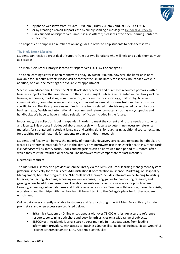

- by phone weekdays from 7:45am  $-7:00$ pm (Friday 7.45am-2pm), at  $+45$  33 41 96 66;
- or by creating as email support-case by simply sending a message to **Helpdesk@Brock.dk**.
- Daily support on Bispetorvet Campus is also offered; please visit the open Learning Center to check time.

The helpdesk also supplies a number of online guides in order to help students to help themselves.

# **The Niels Brock Libraries**

Students can receive a great deal of support from our two librarians who will help and guide them as much as possible.

The main Niels Brock Library is located at Bispetorvet 1-3, 1167 Copenhagen K.

The open learning Center is open Monday to Friday, 07:00am–5:00pm, however, the librarian is only available for 30 hours a week. Please visit or contact the Online library for specific hours each week; in addition, one-on-one meetings are available by appointment.

Since it is an educational library, the Niels Brock library selects and purchases resources primarily within business subject areas that are relevant to the courses taught. Subjects represented in the library include: finance, economics, marketing, communication, economic history, sociology, philosophy, business communication, computer science, statistics, etc., as well as general business texts and texts on more specific topics. The library contains required course texts, related materials requested by faculty, core business texts, Danish and international magazines and reference material such as encyclopedias and handbooks. We hope to have a limited selection of fiction included in the future.

Importantly, the collection is being expanded in order to meet the current and future needs of students and faculty. This process includes collaborating closely with faculty to determine necessary reference materials for strengthening student language and writing skills, for purchasing additional course texts, and for acquiring related materials for students to pursue in-depth research.

Students and faculty can borrow the majority of materials. However, core course texts and handbooks are treated as reference materials for use in the library only. Borrowers use their Danish health insurance cards ("*sundhedskort*") as library cards. Books and magazines can be borrowed for a period of 1 month, after which they must be returned or renewed. The borrower must compensate for lost materials.

# Electronic resources:

The Niels Brock Library also provides an online library via the Mit Niels Brock learning management system platform, specifically for the Business Administration (Concentration in Finance, Marketing, or Hospitality Management) bachelor program. The "Mit Niels Brock Library" includes information pertaining to visiting libraries, contacting librarians, accessing online databases, using guides for conducting research, and gaining access to additional resources. The librarian visits each class to give a workshop on Academic Honesty, accessing online databases and finding reliable resources. Teacher collaboration, more class visits, workshops, and field trips with the librarian will be written into the College's plans for further academic enrichment.

Online databases currently available to students and faculty through the Mit Niels Brock Library include proprietary and open access services listed below:

- Britannica Academic Online encyclopedia with over 73,000 entries. An accurate reference resource, containing both short and book-length articles on a wide range of subjects.
- EBSCOHost Academic journal search across multiple full-text databases from leading information providers, with access to: Business Source Elite, Regional Business News, GreenFILE, Teacher Reference Center, ERIC, Academic Search Elite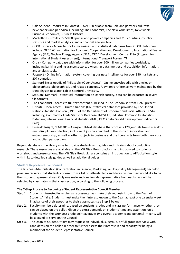

- Gale Student Resources In Context Over 150 eBooks from Gale and partners, full-text newspapers and periodicals including: The Economist, The New York Times, Newsweek, Business Economics, Business History
- Marketline Profiles for 50,000 public and private companies and 215 countries, country statistics and market analytics, and a financial analysis tool.
- OECD ILibrary Access to books, magazines, and statistical databases from OECD. Publishers include: OECD (Organization for Economic Cooperation and Development), International Energy Agency (IEA), Nuclear Energy Agency (NEA), OECD Development Centre, PISA (Program for International Student Assessment), International Transport Forum (ITF)
- Orbis Company database with information for over 100 million companies worldwide, including banking and insurance sectors, ownership data, merger and acquisition information, and analysis tools.
- Passport Online information system covering business intelligence for over 350 markets and 207 countries.
- Stanford Encyclopedia of Philosophy (Open Access) Online encyclopedia with entries on philosophers, philosophical, and related concepts. A dynamic reference work maintained by the Metaphysics Research Lab at Stanford University.
- StatBank Denmark Statistical information on Danish society, data can be exported in several file formats.
- The Economist Access to full-text content published in The Economist, from 1997–present.
- UNdata (Open Access) United Nations (UN) statistical databases provided by The United Nations Statistics Division (UNSD) of the Department of Economic and Social Affairs (DESA). Including: Commodity Trade Statistics Database, INDSTAT, Industrial Commodity Statistics Database, International Financial Statistics (IMF), OECD Data, World Development Indicators (WB)
- Emerald Insight, "EM120" A single full-text database that contains 120 journals from Emerald's multidisciplinary collection, inclusive of journals devoted to the study of innovation and entrepreneurship, as well as other subjects in business and the liberal arts from both theoretical and applied perspectives.

Beyond databases, the library aims to provide students with guides and tutorials about conducting research. These resources are available on the Mit Niels Brock platform and introduced to students in workshops and presentations. The Mit Niels Brock Library contains an introduction to APA citation style with links to detailed style guides as well as additional guides.

# **Student Representative Council**

The Business Administration (Concentration in Finance, Marketing, or Hospitality Management) bachelor program requires that students choose, from a list of self-selected candidates, whom they would like to be their student representatives. Only one male and one female representative from each class will be selected by classmates in that class section, according to the following process.

# **The 7-Step Process to Becoming a Student Representative Council Member**

- **Step 1.** Students interested in serving as representatives make their requests know to the Dean of Student Affairs. Students must make their interest known to the Dean at least one calendar week in advance of their speeches to their classmates (see Step 3 below).
- **Step 2.** Faculty members determine, based on students' grades and in-class performance, whether they can be placed on the ballot. Given the extra demands on students' time and attention, only students with the strongest grade point averages *and* overall academic and personal integrity will be allowed to serve on the Council.
- **Step 3.** The Dean of Student Affairs may request an individual, subgroup, or full group interview with candidates on the ballot in order to further assess their interest in and capacity for being a member of the Student Representative Council.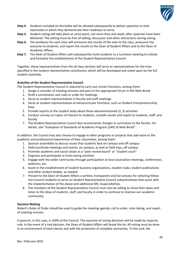

- **Step 4.** Students included on the ballot will be allowed subsequently to deliver speeches to their classmates in which they demonstrate their readiness to serve.
- **Step 5.** Student voting will take place at some point, not more than one week, after speeches have been delivered. The setting must be free of talking, discussion and other distractions during voting.
- **Step 6.** The professor for each class will announce the results of the vote to the class, announce the outcome to students, and report the results to the Dean of Student Affairs and to the Dean of Academic Affairs.
- **Step 7.** The Dean of Student Affairs will subsequently invite students to a luncheon meeting to initiate and formalize the establishment of the Student Representative Council.

Together, these representatives from the all class sections will serve as representatives for the time specified in the student representative constitution, which will be developed and voted upon by the full student assembly.

# **Activities of the Student Representative Council**

The Student Representative Council is required to carry out certain functions, among them:

- 1. Assign a recorder of meeting minutes and post to the appropriate forum in Mit Niels Brock
- 2. Draft a constitution and rules or order for meetings
- 3. Serve as student representatives in faculty and staff meetings
- 4. Serve as student representatives at extracurricular functions, such as Student Entrepreneurship Days
- 5. Provide reports to the student body about these abovementioned (2, 3) activities
- 6. Conduct surveys on topics of interest to students, compile results and report to students, staff, and faculty.
- 7. The Student Representative Council also recommends changes in curriculum to the faculty. For details, see "Evaluation of Standards of Academic Progress (SAP) at Niels Brock".

In addition, the Council may also choose to engage in other programs or projects that add value to the academic and professional experiences of their classmates, among them:

- 1. Sponsor assemblies to discuss issues that students face on campus and off campus
- 2. Hold lunchtime meetings and events, on campus; as well as field trips, off campus
- 3. Promote academic and social values as a "peer review board" or "student court"
- 4. Organize and participate in fund-raising activities
- 5. Engage with the wider community through participation at local association meetings, conferences, webinars, etc.
- 6. Assist in the establishment of student business organizations, student clubs, student publications and other student bodies, as needed
- 7. Present to the Dean of Student Affairs a written, transparent and fair process for selecting fellow non-Council students to serve on Student Representative Council subcommittees that assist with the implementation of the above and additional SRC responsibilities.
- 8. The members of the Student Representative Council must also be willing to share their ideas *and*  listen to the ideas of students, staff, and faculty in order to continue to improve our academic community.

# **Decision Making**

Robert's Rules of Order should be used to guide the meeting agenda, call to order, note taking, and report of meeting minutes.

A quorum, in this case, is 100% of the Council. The outcome of voting decisions will be made by majority rule. In the event of a tied decision, the Dean of Student Affairs will break the tie. All voting must be done in an environment of total silence and with the protection of complete anonymity. To this end, the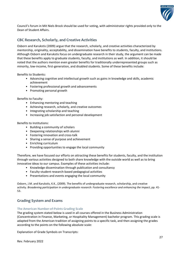

Council's forum in Mit Niels Brock should be used for voting, with administrator rights provided only to the Dean of Student Affairs.

# **CBC Research, Scholarly, and Creative Activities**

Osborn and Karukstis (2009) argue that the research, scholarly, and creative activities characterized by mentorship, originality, acceptability, and dissemination have benefits to students, faculty, and institutions. Although Osborn and Karukstis focus on undergraduate research in their study, the argument can be made that these benefits apply to graduate students, faculty, and institutions as well. In addition, it should be noted that the authors mention even greater benefits for traditionally underrepresented groups such as minority, low-income, first-generation, and disabled students. Some of these benefits include:

Benefits to Students**:**

- Advancing cognitive and intellectual growth such as gains in knowledge and skills, academic achievement
- Fostering professional growth and advancements
- Promoting personal growth

Benefits to Faculty:

- Enhancing mentoring and teaching
- Achieving research, scholarly, and creative outcomes
- Integrating scholarship and teaching
- Increasing job satisfaction and personal development

Benefits to Institutions:

- Building a community of scholars
- Deepening relationships with alumni
- Fostering innovation and cross-talk
- Sharing a sense of purpose and achievement
- Enriching curriculum
- Providing opportunities to engage the local community

Therefore, we have focused our efforts on attracting these benefits for students, faculty, and the institution through various activities designed to both share knowledge with the outside world as well as to bring innovative ideas to our campus. Examples of these activities include:

- Knowledge dissemination through publication and consultancy
- Faculty-student research-based pedagogical activities
- Presentations and events engaging the local community

Osborn, J.M. and Karukstis, K.K., (2009). The benefits of undergraduate research, scholarship, and creative activity. *Broadening participation in undergraduate research: Fostering excellence and enhancing the impact*, pp. 41- 53.

# **Grading System and Exams**

## **The American Number-of-Points Grading Scale**

The grading system stated below is used in all courses offered in the Business Administration (Concentration in Finance, Marketing, or Hospitality Management) bachelor program. This grading scale is adapted from the American tradition of assigning points to a specific task, and then assigning the grades according to the points on the following absolute scale:

Explanation of Grade Symbols on Transcripts: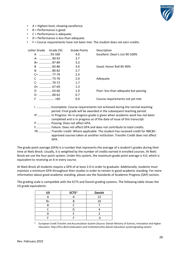

- A = Highest level, showing excellence.
- $\cdot$  B = Performance is good.
- C = Performance is adequate.
- D = Performance is less than adequate.
- F = Course requirements have not been met. The student does not earn credits.

| Letter Grade Grade (%) | <b>Grade Points</b> | Description                          |
|------------------------|---------------------|--------------------------------------|
| A  93-100              | 4.0                 | Excellent: Dean's List 90-100%       |
| A-  90-92              | 3.7                 |                                      |
| B+  87-89              | 3.3                 |                                      |
| B  83-86               | 3.0                 | Good: Honor Roll 85-90%              |
| B-  80-82              | 2.7                 |                                      |
| C+  77-79              | 2.3                 |                                      |
|                        | 2.0                 | Adequate                             |
|                        | 1.7                 |                                      |
| D+  67-69              | 1.3                 |                                      |
| D                      | 1.0                 | Poor: less than adequate but passing |
| D -  60-62             | 0.7                 |                                      |
| F                      | 0.0                 | Course requirements not yet met      |
|                        |                     |                                      |

I ……………….Incomplete. Course requirements not achieved during the normal teaching period. Final grade will be awarded in the subsequent teaching period. IP ................ In Progress: An in-progress grade is given when academic work has not been completed and is in progress as of the date of issue of this transcript.

P ................. Passing: Does not affect GPA.

F.................. Failure: Does not affect GPA and does not contribute to total credits.

TR ............... Transfer credit: Where applicable. The student has received credit for NBCBCapproved courses taken at another institution. Transfer Credit does not affect GPA.

The grade point average (GPA) is a number that represents the average of a student's grades during their time at Niels Brock. Usually, it is weighted by the number of credits earned in enrolled courses. At Niels Brock we use the four-point system. Under this system, the maximum grade point average is 4.0, which is equivalent to receiving an A in every course.

At Niels Brock all students require a GPA of at least 2.0 in order to graduate. Additionally, students must maintain a minimum GPA throughout their studies in order to remain in good academic standing. For more information about good academic standing, please see the [Standards of Academic Progress \(SAP\)](#page-32-0) section.

The grading scale is compatible with the ECTS and Danish grading systems. The following table shows the US grade equivalents:

| <b>US</b> | ECTS* | <b>Danish</b> |
|-----------|-------|---------------|
|           |       | 12            |
| B+        |       | 10            |
|           |       |               |
|           |       |               |
|           |       |               |
|           |       |               |

\* European Credit Transfer and Accumulation System (Source: Danish Ministry of Science, Innovation and Higher Education:<http://fivu.dk/en/education-and-institutions/the-danish-education-system/grading-system>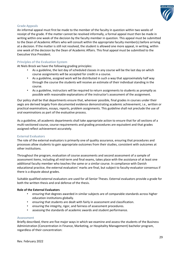

# **Grade Appeals**

An informal appeal must first be made to the member of the faculty in question within two weeks of receipt of the grade. If the matter cannot be resolved informally, a formal appeal must then be made in writing within one week of the decision by the faculty member in question. This appeal must be submitted to the Dean of Academic Affairs who will consult within the appropriate faculty member(s) before arriving at a decision. If the matter is still not resolved, the student is allowed one more appeal, in writing, within one week of the decision by the Dean of Academic Affairs. This final appeal must be submitted to the Executive Vice President.

# **Principles of the Evaluation System**

At Niels Brock we have the following grading principles:

- As a guideline, the last day of scheduled classes in any course will be the last day on which course assignments will be accepted for credit in a course.
- As a guideline, assigned work will be distributed in such a way that approximately half way through the course the students will receive an estimate of their individual standing in the course.
- As a guideline, instructors will be required to return assignments to students as promptly as possible with reasonable explanations of the instructor's assessment of the assignment.

Our policy shall be that departments ensure that, wherever possible, final grades in courses under their aegis are derived largely from documented evidence demonstrating academic achievement, i.e., written or practical examinations, essays, reports, problem assignments. This guideline shall not preclude the use of oral examinations as part of the evaluative process.

As a guideline, all academic departments shall take appropriate action to ensure that for all sections of a multi-sectioned course, course requirements and grading procedures are equivalent and that grades assigned reflect achievement accurately.

## **External Evaluators**

The role of the external evaluators is primarily one of quality assurance, ensuring that procedures and processes allow students to gain appropriate outcomes from their studies, consistent with outcomes at other institutions.

Throughout the program, evaluation of course assessments and second assessment of a sample of assessment items, including all mid-term and final exams, takes place with the assistance of at least one additional faculty member who teaches the same or a similar course. In compliance with Danish educational practice, the external evaluators' marks are final, but subject to faculty-evaluator consensus if there is a dispute about grades.

Suitable qualified external evaluators are used for all Senior Theses. External evaluators provide a grade for both the written thesis and oral defense of the thesis.

## **Role of the External Evaluators**

- ensuring that degrees awarded in similar subjects are of comparable standards across higher education institutions globally.
- ensuring that students are dealt with fairly in assessment and classification.
- ensuring the integrity, rigor, and fairness of assessment procedures.
- assessing the standards of academic awards and student performance.

## **Assessment**

Briefly described, there are five major ways in which we examine and assess the students of the Business Administration (Concentration in Finance, Marketing, or Hospitality Management) bachelor program, regardless of their concentration: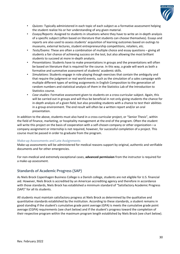

- *Quizzes*: Typically administered in each topic of each subject as a formative assessment helping the student realize his or her understanding of any given material.
- *Essays/Reports*: Assigned to students in situations where they have to write an in-depth analysis of a specific subject (often based on literature that students can choose themselves). Essays and reports are also used to assess students' acquisition of learning outcomes based on outings to museums, external lectures, student entrepreneurship competitions, retailers, etc.
- *Tests/Exams*: These are often a combination of multiple choice and essay questions giving all students a fair chance of achieving success on the test, but also allowing the most brilliant students to succeed at more in-depth analysis.
- *Presentations*: Students have to make presentations in groups and the presentations will often be based on literature that is required for the course. In this way, a grade will work as both a formative and summative assessment of students' academic skills.
- *Simulations*: Students engage in role-playing though exercises that contain the ambiguity and that require the judgment or real world events, such as the simulation of a sales campaign with multiple different types of writing assignments in English Composition to the generation of random numbers and statistical analysis of them in the Statistics Lab of the Introduction to Statistics course.
- *Case studies*: Formative assessment given to students on a cross-curricular subject. Again, this will be carried out in groups and will thus be beneficial in not only giving students the chance for in-depth analysis of a given field, but also providing students with a chance to test their abilities in a group environment. The end result will often be a written report and/or an oral presentation.

In addition to the above, students must also hand in a cross-curricular project, or "Senior Thesis", within the field of finance, marketing, or hospitality management at the end of the program. Often the student will write this project on the basis of cooperation with a self-chosen company or other organization—a company assignment or internship is not required, however, for successful completion of a project. This course must be passed in order to graduate from the program.

# **Make-up Assessments and Late Assignments**

Make-up assessments will be administered for medical reasons support by original, authentic and verifiable documents and for other emergencies.

For non-medical and extremely exceptional cases, **advanced permission** from the instructor is required for a make-up assessment.

# <span id="page-32-0"></span>**Standards of Academic Progress (SAP)**

As Niels Brock Copenhagen Business College is a Danish college, students are not eligible for U.S. financial aid. However, Niels Brock is accredited by an American accrediting agency and therefore in accordance with those standards, Niels Brock has established a minimum standard of "Satisfactory Academic Progress (SAP)" for all its students.

All students must maintain satisfactory progress at Niels Brock as determined by the qualitative and quantitative standards established by the institution. According to these standards, a student remains in good standing if the student's cumulative grade point average (GPA) is meets the cumulative grade point average (CGPA) requirements (see chart below) and if the student's progress toward the completion of their respective program within the maximum program length established by Niels Brock (see chart below).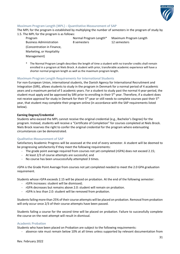

# **Maximum Program Length (MPL) – Quantitative Measurement of SAP**

The MPL for the program is established by multiplying the number of semesters in the program of study by 1.5. The MPL for the program is as follows:

Business Administration 8 semesters 12 semesters (Concentration in Finance, Marketing, or Hospitality Management)

Program Normal Program Length\* Maximum Program Length

The Normal Program Length describes the length of time a student with no transfer credits shall remain enrolled in a program at Niels Brock. A student with prior, transferable academic experience will have a shorter normal program length as well as the maximum program length.

# **Maximum Program Length Requirements for International Students**

For non-European Union, international students, the Danish Agency for International Recruitment and Integration (SIRI), allows students to study in the program in Denmark for a normal period of 4 academic years and a maximum period of 5 academic years. For a student to study past the normal 4 year-period, the student must apply and be approved by SIRI prior to enrolling in their 5<sup>th</sup> year. Therefore, if a student does not receive approval for study in Demark for their 5<sup>th</sup> year or still needs to complete courses past their 5<sup>th</sup> year, that student may complete their program online (in accordance with the SAP requirements listed below).

# **Earning Degree/Credential**

Students who exceed the MPL cannot receive the original credential (e.g., Bachelor's Degree) for the program. Instead, students will receive a "Certificate of Completion" for courses completed at Niels Brock. Niels Brock reserves the right to confer the original credential for the program where extenuating circumstances can be demonstrated.

# **Qualitative Measurement of SAP**

Satisfactory Academic Progress will be assessed at the end of every semester. A student will be deemed to be progressing satisfactorily if they meet the following requirements:

- The grade point average required from courses not yet completed (rGPA) does not exceed 2.15;
- At least 2/3 of course attempts are successful; and
- No course has been unsuccessfully attempted 3 times.

rGPA is the Grade Point Average from courses not yet completed needed to meet the 2.0 GPA graduation requirement.

Students whose rGPA exceeds 2.15 will be placed on probation. At the end of the following semester:

- rGPA increases: student will be dismissed;
- rGPA decreases but remains above 2.0: student will remain on probation.
- rGPA is less than 2.0: student will be removed from probation.

Students failing more than 25% of their course attempts will be placed on probation. Removal from probation will only occur once 2/3 of their course attempts have been passed.

Students failing a course for the second time will be placed on probation. Failure to successfully complete the course on the next attempt will result in dismissal.

# **Academic Probation**

Students who have been placed on Probation are subject to the following requirements:

- absence rate must remain below 10% at all times unless supported by relevant documentation from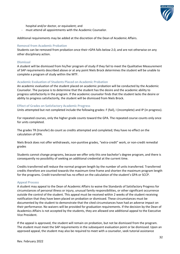

hospital and/or doctor, or equivalent; and

must attend all appointments with the Academic Counselor.

Additional requirements may be added at the discretion of the Dean of Academic Affairs.

# **Removal from Academic Probation**

Students can be removed from probation once their rGPA falls below 2.0, and are not otherwise on any other disciplinary action.

# **Dismissal**

A student will be dismissed from his/her program of study if they fail to meet the Qualitative Measurement of SAP requirements described above or at any point Niels Brock determines the student will be unable to complete a program of study within the MTF.

# **Academic Evaluation of Students Placed on Academic Probation**

An academic evaluation of the student placed on academic probation will be conducted by the Academic Counselor. The purpose is to determine that the student has the desire and the academic ability to progress satisfactorily in the program. If the academic counselor finds that the student lacks the desire or ability to progress satisfactorily, the student will be dismissed from Niels Brock.

# **Effect of Grades on Satisfactory Academic Progress**

Units attempted but not completed include the following grades: F (fail), I (incomplete) and IP (in progress).

For repeated courses, only the higher grade counts toward the GPA. The repeated course counts only once for units completed.

The grades TR (transfer) do count as credits attempted and completed; they have no effect on the calculation of GPA.

Niels Brock does not offer withdrawals, non-punitive grades, "extra-credit" work, or non-credit remedial grades

Students cannot change programs, because we offer only this one bachelor's degree program, and there is consequently no possibility of seeking an additional credential at the current time.

Credits transferred will reduce the normal program length by the number of units transferred. Transferred credits therefore are counted towards the maximum time frame and shorten the maximum program length for the programs. Credit transferred has no effect on the calculation of the student's GPA or SCCP.

## **Appeal Process**

A student may appeal to the Dean of Academic Affairs to waive the Standards of Satisfactory Progress for circumstances of personal illness or injury, unusual family responsibilities, or other significant occurrence outside the control of the student. This appeal must be received within 2 weeks of the student receiving notification that they have been placed on probation or dismissed. These circumstances must be documented by the student to demonstrate that the cited circumstances have had an adverse impact on their performance. No waivers will be provided for graduation requirements. If the decision by the Dean of Academics Affairs is not accepted by the students, they are allowed one additional appeal to the Executive Vice President.

If the appeal is approved, the student will remain on probation, but not be dismissed from the program. The student must meet the SAP requirements in the subsequent evaluation point or be dismissed. Upon an approved appeal, the student may also be required to meet with a counselor, seek tutorial assistance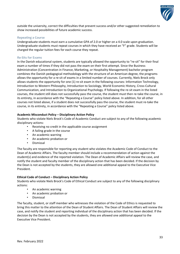

outside the university, correct the difficulties that prevent success and/or other suggested remediation to show increased possibilities of future academic success.

# **Repeating a Course**

Undergraduate students must earn a cumulative GPA of 2.0 or higher on a 4.0 scale upon graduation. Undergraduate students must repeat courses in which they have received an "F" grade. Students will be charged the regular tuition fees for each course they repeat.

# **Re-Sits for Exams**

In the Danish educational system, students are typically allowed the opportunity to "re-sit" for their final exam a number of times if they did not pass the exam on their first attempt. Since the Business Administration (Concentration in Finance, Marketing, or Hospitality Management) bachelor program combines the Danish pedagogical methodology with the structure of an American degree, the programs allows the opportunity for a re-sit of exams in a limited number of courses. Currently, Niels Brock only allows students the opportunity for one (1) re-sit exam in the following courses: Information Technology, Introduction to Western Philosophy, Introduction to Sociology, World Economic History, Cross-Cultural Communication, and Introduction to Organizational Psychology. If following the re-sit exam in the listed courses, the student still does not successfully pass the course, the student must then re-take the course, in its entirety, in accordance with the "Repeating a Course" policy listed above. In addition, for all other courses not listed above, if a student does not successfully pass the course, the student must re-take the course, in its entirety, in accordance with the "Repeating a Course" policy listed above.

# **Academic Misconduct Policy – Disciplinary Action Policy**

Students who violate Niels Brock's Code of Academic Conduct are subject to any of the following academic disciplinary actions:

- Receiving no credit in the applicable course assignment
- A failing grade in the course
- An academic warning
- An academic probation or
- Dismissal

The faculty are responsible for reporting any student who violates the Academic Code of Conduct to the Dean of Academic Affairs. The faculty member should include a recommendation of action against the student(s) and evidence of the reported violation. The Dean of Academic Affairs will review the case, and notify the student and faculty member of the disciplinary action that has been decided. If the decision by the Dean is not accepted by the students, they are allowed one additional appeal to the Executive Vice President.

# **Ethical Code of Conduct – Disciplinary Action Policy**

Students who violate Niels Brock's Code of Ethical Conduct are subject to any of the following disciplinary actions:

- An academic warning
- An academic probation or
- Dismissal

The faculty, student, or staff member who witnesses the violation of the Code of Ethics is requested to bring this matter to the attention of the Dean of Student Affairs. The Dean of Student Affairs will review the case, and notify the student and reporting individual of the disciplinary action that has been decided. If the decision by the Dean is not accepted by the students, they are allowed one additional appeal to the Executive Vice President.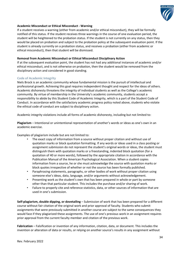

# **Academic Misconduct or Ethical Misconduct - Warning**

If a student receives a warning (either from academic and/or ethical misconduct), they will be formally notified of this status. If the student receives three warnings in the course of one evaluation period, the student will be heightened to the probation status. If the student is not currently on any status, then they would be placed on probation and subject to the probation policy at the subsequent evaluation point. If the student is already currently on a probation status, and receives a probation (either from academic or ethical misconduct), then that student will be dismissed.

# **Removal from Academic Misconduct or Ethical Misconduct Disciplinary Action**

If at the subsequent evaluation point, the student has not had any additional instances of academic and/or ethical misconduct, and is not otherwise on probation, then the student would be removed from the disciplinary action and considered in good standing.

# **Code of Academic Integrity**

Niels Brock is an academic community whose fundamental mission is the pursuit of intellectual and professional growth. Achieving this goal requires independent thought and respect for the ideas of others. Academic dishonesty threatens the integrity of individual students as well as the College's academic community. By virtue of membership in the University's academic community, students accept a responsibility to abide by this Student Code of Academic Integrity, which is a part of the Student Code of Conduct. In accordance with the satisfactory academic progress policy noted above, students who violate the ethical code of conduct are subject to disciplinary action.

Academic integrity violations include all forms of academic dishonesty, including but not limited to:

**Plagiarism** – Intentional or unintentional representation of another's words or ideas as one's own in an academic exercise.

Examples of plagiarism include but are not limited to:

- The exact copy of information from a source without proper citation and without use of quotation marks or block quotation formatting. If any words or ideas used in a class posting or assignment submission do not represent the student's original words or ideas, the student must distinguish them with quotation marks or a freestanding, indented block quotation (for a quotation of 40 or more words), followed by the appropriate citation in accordance with the Publication Manual of the American Psychological Association. When a student copies information from a source, he or she must acknowledge the source with quotation marks or block quotes irrespective of whether or not the source has been formally published.
- Paraphrasing statements, paragraphs, or other bodies of work without proper citation using someone else's ideas, data, language, and/or arguments without acknowledgement.
- Presenting work as the student's own that has been prepared in whole or part by someone other than that particular student. This includes the purchase and/or sharing of work.
- Failure to properly cite and reference statistics, data, or other sources of information that are used in one's submission.

**Self-plagiarism, double dipping, or dovetailing** – Submission of work that has been prepared for a different course without fair citation of the original work and prior approval of faculty. Students who submit assignments that were previously submitted in another course are subject to the same consequences they would face if they plagiarized these assignments. The use of one's previous work in an assignment requires prior approval from the current faculty member and citation of the previous work.

**Fabrication** – Falsification or invention of any information, citation, data, or document. This includes the invention or alteration of data or results, or relying on another source's results in any assignment without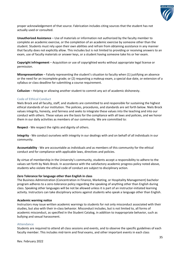

proper acknowledgement of that source. Fabrication includes citing sources that the student has not actually used or consulted.

**Unauthorized Assistance** – Use of materials or information not authorized by the faculty member to complete an academic exercise, or the completion of an academic exercise by someone other than the student. Students must rely upon their own abilities and refrain from obtaining assistance in any manner that faculty does not explicitly allow. This includes but is not limited to providing or receiving answers to an exam, use of faculty materials or answer keys, or a student having someone take his or her exam.

**Copyright infringement** – Acquisition or use of copyrighted works without appropriate legal license or permission.

**Misrepresentation** – Falsely representing the student's situation to faculty when (1) justifying an absence or the need for an incomplete grade; or (2) requesting a makeup exam, a special due date, or extension of a syllabus or class deadline for submitting a course requirement.

**Collusion** – Helping or allowing another student to commit any act of academic dishonesty.

# **Code of Ethical Conduct**

Niels Brock and all faculty, staff, and students are committed to and responsible for sustaining the highest ethical standards of our institution. The policies, procedures, and standards are set forth below. Niels Brock values integrity, honesty, and fairness and seeks to integrate these values into the teaching and into our conduct with others. These values are the basis for the compliance with all laws and policies, and we honor them in our daily activities as members of our community. We are committed to:

**Respect** - We respect the rights and dignity of others.

**Integrity** - We conduct ourselves with integrity in our dealings with and on behalf of all individuals in our community.

**Accountability** - We are accountable as individuals and as members of this community for the ethical conduct and for compliance with applicable laws, directives and policies.

By virtue of membership in the University's community, students accept a responsibility to adhere to the values set forth by Niels Brock. In accordance with the satisfactory academic progress policy noted above, students who violate the ethical code of conduct are subject to disciplinary action.

## **Zero Tolerance for language other than English in class**

The Business Administration (Concentration in Finance, Marketing, or Hospitality Management) bachelor program adheres to a zero-tolerance policy regarding the speaking of anything other than English during class. Speaking other languages will be not be allowed unless it is part of an instructor-initiated learning activity. Instructors can take disciplinary actions against students who speak a language other than English.

## **Academic warning notice**

Instructors may issue written academic warnings to students for not only misconduct associated with their studies, but also with their in-class behavior. Misconduct includes, but is not limited to, all forms of academic misconduct, as specified in the Student Catalog, in addition to inappropriate behavior, such as bullying and sexual harassment.

## **Attendance**

Students are required to attend all class sessions and events, and to observe the specific guidelines of each faculty member. This includes mid-term and final exams, and other important events in each class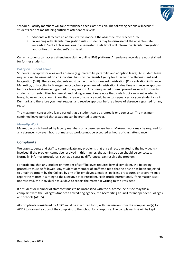

schedule. Faculty members will take attendance each class session. The following actions will occur if students are not maintaining sufficient attendance levels:

- Students will receive an administrative notice if the absentee rate reaches 10%.
- In keeping with Danish immigration rules, students may be dismissed if the absentee rate exceeds 20% of all class sessions in a semester. Niels Brock will inform the Danish immigration authorities of the student's dismissal.

Current students can access attendance via the online UMS platform. Attendance records are not retained for former students.

# **Policy on Student Leave**

Students may apply for a leave of absence (e.g. maternity, paternity, and adoption leave). All student leave requests will be assessed on an individual basis by the Danish Agency for International Recruitment and Integration (SIRI). Therefore, students must contact the Business Administration (Concentration in Finance, Marketing, or Hospitality Management) bachelor program administration in due time and receive approval before a leave of absence is granted for any reason. Any unrequested or unapproved leave will disqualify students from submitting homework and taking exams. Please note that Niels Brock can grant academic leave; however, you should know that a leave of absence could have consequences for your student visa in Denmark and therefore you must request and receive approval before a leave of absence is granted for any reason.

The maximum consecutive leave period that a student can be granted is one semester. The maximum combined leave period that a student can be granted is one year.

# **Make-Up Work**

Make-up work is handled by faculty members on a case-by-case basis. Make-up work may be required for any absence. However, hours of make-up work cannot be accepted as hours of class attendance.

# **Complaints**

We urge students and staff to communicate any problems that arise directly related to the individual(s) involved. If the problem cannot be resolved in this manner, the administration should be contacted. Normally, informal procedures, such as discussing differences, can resolve the problem.

For problems that any student or member of staff believes requires formal complaint, the following procedure must be followed: Any student or member of staff who feels that he or she has been subjected to unfair treatment by the College by any of its employees, entities, policies, procedures or programs may report the matter in writing to the Executive Vice President, Niels Brock International. If the matter is still not resolved, the individual has 30 days to report the matter in writing to the President.

If a student or member of staff continues to be unsatisfied with the outcome, he or she may file a complaint with the College's American accrediting agency, the Accrediting Council for Independent Colleges and Schools (ACICS).

All complaints considered by ACICS must be in written form, with permission from the complainant(s) for ACICS to forward a copy of the complaint to the school for a response. The complainant(s) will be kept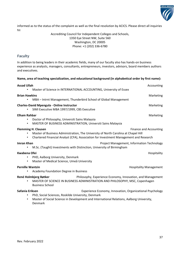

informed as to the status of the complaint as well as the final resolution by ACICS. Please direct all inquiries to:

> Accrediting Council for Independent Colleges and Schools, 1350 Eye Street NW, Suite 560 Washington, DC 20005 Phone: +1 (202) 336-6780

# **Faculty**

In addition to being leaders in their academic fields, many of our faculty also has hands-on business experience as analysts, managers, consultants, entrepreneurs, investors, advisors, board members authors and executives.

# **Name, area of teaching specialization, and educational background (in alphabetical order by first name):**

| <b>Assad Ullah</b>               | Master of Science in INTERNATIONAL ACCOUNTING, University of Essex                                                                                                                                        | Accounting                                                 |
|----------------------------------|-----------------------------------------------------------------------------------------------------------------------------------------------------------------------------------------------------------|------------------------------------------------------------|
| <b>Brian Hawkins</b>             | MBA - Intrnt Management, Thunderbird School of Global Management                                                                                                                                          | Marketing                                                  |
|                                  | <b>Charles-David Mpengula - Online Instructor</b><br>SIMI Executive MBA 1997/1999, CBS Executive                                                                                                          | Marketing                                                  |
| <b>Elham Rahbar</b><br>$\bullet$ | Doctor of Philosophy, Universiti Sains Malaysia<br>MASTER OF BUSINESS ADMINISTRATION, Universiti Sains Malaysia                                                                                           | Marketing                                                  |
|                                  | <b>Flemming H. Clausen</b><br>Master of Business Administration, The University of North Carolina at Chapel Hill<br>Chartered Financial Analyst (CFA), Association for Investment Management and Research | <b>Finance and Accounting</b>                              |
| Imran Khan                       | M.Sc. (Taught) Investments with Distinction, University of Birmingham                                                                                                                                     | Project Management, Information Technology                 |
| Kwabena Ofei<br>٠                | PHD, Aalborg University, Denmark<br>Master of Medical Science, Umeå University                                                                                                                            | Hospitality                                                |
| <b>Pernille Wantzin</b><br>٠     | Academy Foundation Degree in Business                                                                                                                                                                     | <b>Hospitality Management</b>                              |
|                                  | René Holmbjerg Bøtker<br>MASTER OF SCIENCE IN BUSINESS ADMINISTRATION AND PHILOSOPHY, MSC, Copenhagen<br><b>Business School</b>                                                                           | Philosophy, Experience Economy, Innovation, and Management |
| Safania Eriksen<br>$\bullet$     | PhD, Social Sciences, Roskilde University, Denmark<br>Master of Social Science in Development and International Relations, Aalborg University,<br>Denmark                                                 | Experience Economy, Innovation, Organizational Psychology  |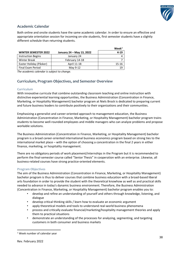

# **Academic Calendar**

Both online and onsite students have the same academic calendar. In order to ensure an effective and appropriate orientation session for incoming on-site students, first semester students have a slightly different schedule than returning students.

|                             |                           | Week <sup>1</sup> |
|-----------------------------|---------------------------|-------------------|
| <b>WINTER SEMESTER 2022</b> | January 24 – May 13, 2022 | $4 - 19$          |
| <b>Instruction Begins</b>   | January 24                |                   |
| <b>Winter Break</b>         | February 14-18            |                   |
| Easter Holiday (Påsker)     | April 11-18               | $15 - 16$         |
| Final Exam Period           | May 9-12                  | 19                |

*The academic calendar is subject to change.*

# <span id="page-40-0"></span>**Curriculum, Program Objectives, and Semester Overview**

# **Curriculum**

With innovative curricula that combine outstanding classroom teaching and online instruction with distinctive experiential learning opportunities, the Business Administration (Concentration in Finance, Marketing, or Hospitality Management) bachelor program at Niels Brock is dedicated to preparing current and future business leaders to contribute positively to their organizations and their communities.

Emphasizing a generalist and career-oriented approach to management education, the Business Administration (Concentration in Finance, Marketing, or Hospitality Management) bachelor program trains students to become well-rounded employees and middle managers who can analyze problems and propose workable solutions.

The Business Administration (Concentration in Finance, Marketing, or Hospitality Management) bachelor program is a broad career-oriented international business economics program based on strong ties to the international market place – with the option of choosing a concentration in the final 2 years in either finance, marketing, or hospitality management.

There are no obligatory periods of work placement/internships in the Program but it is recommended to perform the final-semester course called "Senior Thesis" in cooperation with an enterprise. Likewise, all business-related courses have strong practice-oriented elements.

# **Program Objectives**

The aim of the Business Administration (Concentration in Finance, Marketing, or Hospitality Management) bachelor program is thus to deliver courses that combine business education with a broad-based liberal arts foundation in order to provide the student with the theoretical knowhow as well as and practical skills needed to advance in today's dynamic business environment. Therefore, the Business Administration (Concentration in Finance, Marketing, or Hospitality Management) bachelor program enables you to:

- develop and refine an understanding of yourself and others through knowledge, listening, and dialogue
- develop critical thinking skills / learn how to evaluate an economic argument
- apply theoretical models and tools to understand real-world business phenomena
- process and critically evaluate financial/marketing/hospitality management theories and apply them to practical situations
- demonstrate an understanding of the processes for analyzing, segmenting, and targeting customers in both consumer and business markets

<span id="page-40-1"></span><sup>1</sup> Week number of calendar year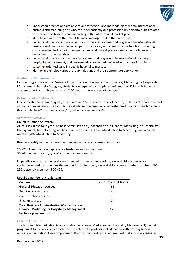

- understand practice and are able to apply theories and methodologies within international business and marketing and who can independently and professionally perform duties related to international business and marketing in the international market place
- identify and interpret the role of financial management in the enterprise
- understand practice and are able to apply theories and methodologies within international business and finance and who can perform advisory and administrative functions including customer-oriented tasks in the specific financial market place as well as in the finance departments of enterprises
- understand practices, apply theories and methodologies within international business and hospitality management, and perform advisory and administrative functions including customer-oriented tasks in specific hospitality markets
- identify and employ various research designs and their appropriate application

# **Graduation Requirements**

In order to graduate with a Business Administration (Concentration in Finance, Marketing, or Hospitality Management) bachelor's degree, students are required to complete a minimum of 128 credit hours of academic work and achieve at least a 2.00 cumulative grade point average.

# **Definition of credit hours**

One semester credit hour equals, at a minimum, 15 classroom hours of lecture, 30 hours of laboratory, and 45 hours of externship. The formula for calculating the number of semester credit hours for each course is (hours of lecture/15) + (hours of lab/30) + (hours of externship/45).

# **Semester Overview**

# **Course Numbering System**

All courses at the four-year Business Administration (Concentration in Finance, Marketing, or Hospitality Management) bachelor program have both a descriptive title (Introduction to Marketing) and a course number (206 Introduction to Marketing).

Besides identifying the courses, the numbers indicate other useful information.

100-299 lower division, typically for freshmen and sophomores 300-499 upper division, typically for juniors and seniors

Upper division courses generally are intended for juniors and seniors**,** lower division courses for sophomores and freshmen. As the numbering table shows, lower division course numbers run from 100- 299, upper division from 300-499.

# **Courses Semester credit hours** General Education courses and the state of the state of the state 36 Required Core courses **ACCORD 20 ACCORD 20 ACCORD 20 ACCORD 40** Concentration courses 28 Flective courses 24 **Total Business Administration (Concentration in Finance, Marketing, or Hospitality Management) bachelor program 128**

# Required number of credit hours:

# **General Education**

The Business Administration (Concentration in Finance, Marketing, or Hospitality Management) bachelor program at Niels Brock is committed to the values of a professional education with a strong liberal education foundation. One component of that commitment is the requirement that all undergraduates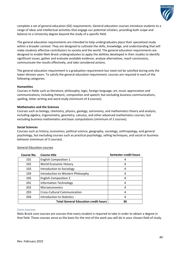

complete a set of general education (GE) requirements. General education courses introduce students to a range of ideas and intellectual activities that engage our potential scholars, providing both scope and balance to a University degree beyond the study of a specific field.

The general education requirements are intended to help undergraduates place their specialized study within a broader context. They are designed to cultivate the skills, knowledge, and understanding that will make students effective contributors to society and the world. The general education requirements are designed to enable Niels Brock undergraduates to apply the abilities developed in their studies to identify significant issues, gather and evaluate available evidence, analyze alternatives, reach conclusions, communicate the results effectively, and take considered actions.

The general education requirement is a graduation requirement but need not be satisfied during only the lower-division years. To satisfy the general education requirement, courses are required in each of the following categories:

# **Humanities**

Courses in fields such as literature, philosophy, logic, foreign language, art, music appreciation and communications, including rhetoric, composition and speech; but excluding business communications, spelling, letter writing and word study (minimum of 4 courses).

# **Mathematics and the Sciences**

Courses such as biology, chemistry, physics, geology, astronomy, and mathematics theory and analysis, including algebra, trigonometry, geometry, calculus, and other advanced mathematics courses, but excluding business mathematics and basic computations (minimum of 2 courses).

## **Social Sciences**

Courses such as history, economics, political science, geography, sociology, anthropology, and general psychology, but excluding courses such as practical psychology, selling techniques, and social or business behavior (minimum of 3 courses).

| <b>Course No.</b> | <b>Course title</b>                         | Semester credit hours |
|-------------------|---------------------------------------------|-----------------------|
| 101               | <b>English Composition 1</b>                | 4                     |
| 102               | <b>World Economic History</b>               | 4                     |
| 103               | Introduction to Sociology                   | 4                     |
| 104               | Introduction to Western Philosophy          | 4                     |
| 105               | <b>English Composition 2</b>                | 4                     |
| 201               | <b>Information Technology</b>               | 4                     |
| 202               | Microeconomics                              | 4                     |
| 203               | <b>Cross-Cultural Communication</b>         | 4                     |
| 204               | <b>Introduction to Statistics</b>           | 4                     |
|                   | <b>Total General Education credit hours</b> | 36                    |

## General Education courses

#### **Core courses**

Niels Brock core courses are courses that every student is required to take in order to obtain a degree in that field. These courses serve as the basis for the rest of the work you will do in your chosen field of study.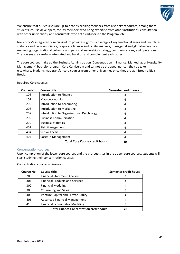

We ensure that our courses are up-to-date by seeking feedback from a variety of sources, among them students, course developers, faculty members who bring expertise from other institutions, consultation with other universities, and consultants who act as advisors to the Program, etc.

Niels Brock's integrated core curriculum provides rigorous coverage of key functional areas and disciplines: statistics and decision science, corporate finance and capital markets, managerial and global economics, marketing, organizational behavior and personal leadership, strategy, communications, and operations. The courses are carefully integrated and build on and complement each other.

The core courses make up the Business Administration (Concentration in Finance, Marketing, or Hospitality Management) bachelor program Core Curriculum and cannot be dropped, nor can they be taken elsewhere. Students may transfer core courses from other universities once they are admitted to Niels Brock.

| Course No. | Course title                              | Semester credit hours |
|------------|-------------------------------------------|-----------------------|
| 106        | Introduction to Finance                   | 4                     |
| 107        | <b>Macroeconomics</b>                     |                       |
| 205        | Introduction to Accounting                | 4                     |
| 206        | Introduction to Marketing                 | 4                     |
| 207        | Introduction to Organizational Psychology | 4                     |
| 209        | <b>Business Communication</b>             | 4                     |
| 210        | <b>Business Statistics</b>                | 4                     |
| 402        | <b>Risk Management</b>                    | 4                     |
| 404        | <b>Senior Thesis</b>                      | 4                     |
| 405        | Cases in Management                       | 4                     |
|            | <b>Total Core Course credit hours</b>     | 40                    |

# Required Core courses

## **Concentration courses**

Upon completion of the lower-core courses and the prerequisites in the upper-core courses, students will start studying their concentration courses.

# Concentration courses – Finance

| Course No.                                      | <b>Course title</b>                    | Semester credit hours |
|-------------------------------------------------|----------------------------------------|-----------------------|
| 208                                             | <b>Financial Statement Analysis</b>    |                       |
| 301                                             | <b>Financial Products and Services</b> |                       |
| 302                                             | <b>Financial Modeling</b>              |                       |
| 303                                             | <b>Counseling and Sales</b>            | 4                     |
| 403                                             | Venture Capital and Private Equity     | 4                     |
| 406                                             | <b>Advanced Financial Management</b>   | 4                     |
| 413                                             | <b>Financial Econometric Modeling</b>  |                       |
| <b>Total Finance Concentration credit hours</b> |                                        | 28                    |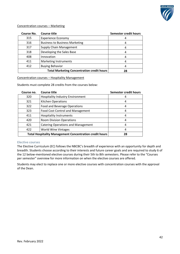

# Concentration courses – Marketing

| Course No. | <b>Course title</b>                                     | Semester credit hours |
|------------|---------------------------------------------------------|-----------------------|
| 315        | <b>Experience Economy</b>                               |                       |
| 316        | <b>Business to Business Marketing</b>                   |                       |
| 317        | <b>Supply Chain Management</b>                          | 4                     |
| 318        | Developing the Sales Base                               |                       |
| 408        | Innovation                                              | 4                     |
| 411        | Marketing Instruments                                   |                       |
| 412        | <b>Buying Behavior</b>                                  |                       |
|            | <b>Total Marketing Concentration credit hours</b><br>28 |                       |

# Concentration courses – Hospitality Management

Students must complete 28 credits from the courses below:

| Course no.                                                     | <b>Course title</b>                       | Semester credit hours |
|----------------------------------------------------------------|-------------------------------------------|-----------------------|
| 320                                                            | <b>Hospitality Industry Environment</b>   | 4                     |
| 321                                                            | <b>Kitchen Operations</b>                 | 4                     |
| 322                                                            | Food and Beverage Operations              | 4                     |
| 323                                                            | Food Cost Control and Management          | 4                     |
| 411                                                            | <b>Hospitality Instruments</b>            | 4                     |
| 420                                                            | <b>Room Division Operations</b>           | 4                     |
| 421                                                            | <b>Catering Operations and Management</b> | 4                     |
| 422                                                            | <b>World Wine Vintages</b>                | 4                     |
| <b>Total Hospitality Management Concentration credit hours</b> | 28                                        |                       |

# **Elective courses**

The Elective Curriculum (EC) follows the NBCBC's breadth of experience with an opportunity for depth and breadth. Students choose according to their interests and future career goals and are required to study 6 of the 12 below-mentioned elective courses during their 5th to 8th semesters. Please refer to the "Courses per semester" overview for more information on when the elective courses are offered.

Students may elect to replace one or more elective courses with concentration courses with the approval of the Dean.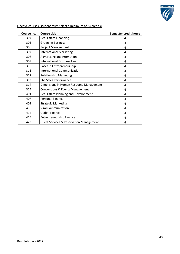

| Course no. | <b>Course title</b>                                | <b>Semester credit hours</b> |
|------------|----------------------------------------------------|------------------------------|
| 304        | <b>Real Estate Financing</b>                       | 4                            |
| 305        | <b>Greening Business</b>                           | 4                            |
| 306        | <b>Project Management</b>                          | 4                            |
| 307        | <b>International Marketing</b>                     | 4                            |
| 308        | Advertising and Promotion                          | 4                            |
| 309        | <b>International Business Law</b>                  | 4                            |
| 310        | Cases in Entrepreneurship                          | 4                            |
| 311        | <b>International Communication</b>                 | 4                            |
| 312        | <b>Relationship Marketing</b>                      | 4                            |
| 313        | The Sales Performance                              | 4                            |
| 314        | Dimensions in Human Resource Management            | 4                            |
| 324        | <b>Conventions &amp; Events Management</b>         | 4                            |
| 401        | Real Estate Planning and Development               | 4                            |
| 407        | <b>Personal Finance</b>                            | 4                            |
| 409        | <b>Strategic Marketing</b>                         | 4                            |
| 410        | <b>Viral Communication</b>                         | 4                            |
| 414        | <b>Global Finance</b>                              | 4                            |
| 415        | <b>Entrepreneurship Finance</b>                    | 4                            |
| 423        | <b>Guest Services &amp; Reservation Management</b> | 4                            |

Elective courses (student must select a minimum of 24 credits)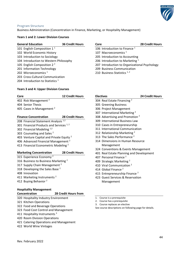

# **Program Structure**

Business Administration (Concentration in Finance, Marketing, or Hospitality Management)

# **Years 1 and 2: Lower Division Courses**

## **General Education 36 Credit Hours**

- 101 English Composition 1<sup>1</sup> 102 World Economic History
- 103 Introduction to Sociology
- 104 Introduction to Western Philosophy
- 105 English Composition 2<sup>2</sup>
- 201 Information Technology
- 202 Microeconomics<sup>1</sup>
- 203 Cross-Cultural Communication
- 204 Introduction to Statistics<sup>1</sup>

# **Years 3 and 4: Upper Division Courses**

| Core                                 | <b>12 Credit Hours</b> | <b>Electives</b>                       | 24 Cre |
|--------------------------------------|------------------------|----------------------------------------|--------|
| 402 Risk Management <sup>2</sup>     |                        | 304 Real Estate Financing <sup>2</sup> |        |
| 404 Senior Thesis                    |                        | 305 Greening Business                  |        |
| 405 Cases in Management <sup>2</sup> |                        | 306 Project Management                 |        |
|                                      |                        | 207 International Marketing 2          |        |

# **Finance Concentration 28 Credit Hours**

- 208 Financial Statement Analysis<sup>1,2</sup>
- 301 Financial Products and Services<sup>1,2</sup>
- 302 Financial Modeling 1,2
- 303 Counseling and Sales<sup>2</sup>
- 403 Venture Capital and Private Equity<sup>2</sup>
- 406 Advanced Financial Management <sup>2</sup>
- 413 Financial Econometric Modeling<sup>2</sup>

# **Marketing Concentration 28 Credit Hours**

- 315 Experience Economy<sup>2</sup>
- 316 Business to Business Marketing<sup>2</sup>
- 317 Supply Chain Management<sup>2</sup>
- 318 Developing the Sales Base<sup>2</sup>
- 408 Innovation
- 411 Marketing Instruments<sup>2</sup>
- 412 Buying Behavior<sup>2</sup>

# **Hospitality Management**

# **Concentration 28 Credit Hours from**

- 320 Hospitality Industry Environment
- 321 Kitchen Operations
- 322 Food and Beverage Operations
- 323 Food Cost Control and Management
- 411 Hospitality Instruments<sup>3</sup>
- 420 Room Division Operations
- 421 Catering Operations and Management
- 422 World Wine Vintages

# **Core 28 Credit Hours** 106 Introduction to Finance<sup>1</sup>

- 107 Macroeconomics<sup>1</sup>
- 205 Introduction to Accounting
- 206 Introduction to Marketing<sup>1</sup>
- 207 Introduction to Organizational Psychology
- 209 Business Communication
- 210 Business Statistics 1, 2

| <b>Electives</b>                           | <b>24 Credit Hours</b> |
|--------------------------------------------|------------------------|
| 304 Real Estate Financing <sup>2</sup>     |                        |
| 305 Greening Business                      |                        |
| 306 Project Management                     |                        |
| 307 International Marketing <sup>2</sup>   |                        |
| 308 Advertising and Promotion <sup>2</sup> |                        |
| 309 International Business Law             |                        |
| 310 Cases in Entrepreneurship              |                        |
| 311 International Communication            |                        |
| 312 Relationship Marketing <sup>2</sup>    |                        |
| 313 The Sales Performance <sup>2</sup>     |                        |

- 314 Dimensions in Human Resource Management
- 324 Conventions & Events Management
- 401 Real Estate Planning and Development
- 407 Personal Finance <sup>2</sup>
- 409 Strategic Marketing <sup>2</sup>
- 410 Viral Communication <sup>2</sup>
- 414 Global Finance<sup>2</sup>
- 415 Entrepreneurship Finance<sup>2</sup>
- 423 Guest Services & Reservation Management
- 1. Course is a prerequisite
- 2. Course has a prerequisite
- 3. Course replaces an elective

See course descriptions on following page for details.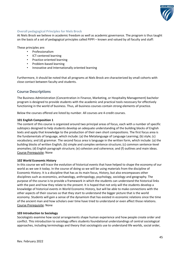

# **Overall pedagogical Principles for Niels Brock**

At Niels Brock we believe in academic freedom as well as academic governance. The program is thus taught on the basis of a set of pedagogical principles called PIPPI – known and valued by all faculty and staff:

These principles are:

- Professionalism
- ICT-centered learning
- Practice-oriented learning
- Problem-based learning
- Innovative and Internationally oriented learning

Furthermore, it should be noted that all programs at Niels Brock are characterized by small cohorts with close contact between faculty and students.

# **Course Descriptions**

The Business Administration (Concentration in Finance, Marketing, or Hospitality Management) bachelor program is designed to provide students with the academic and practical tools necessary for effectively functioning in the world of business. Thus, all business courses contain strong elements of practice.

Below the courses offered are listed by number. All courses are 4-credit courses.

# **101 English Composition 1**

The content of this course is organized around two principal areas of focus, each with a number of specific subtopics designed to help students develop an adequate understanding of the building blocks of English texts and apply that knowledge to the production of their own short compositions. The first focus area is the fundamentals of language, which include: (a) the Metalanguage of Language Learning; (b) style; (c) vocabulary; and (d) grammar. The second focus area is language in the written form, which include: (a) the building blocks of written English; (b) simple and complex sentence structure; (c) common sentence-level anomalies; (d) English paragraph structure; (e) cohesion and coherence; and (f) outlines and main ideas. Course Prerequisite: None

# **102 World Economic History**

In this course we will trace the evolution of historical events that have helped to shape the economy of our world as we see it today. In the course of doing so we will be using materials from the discipline of Economic History. It is a discipline that has as its main focus, History, but also encompasses other disciplines such as economics, archaeology, anthropology, psychology, sociology and geography. The purpose of the course is to provide a framework in which the students can understand the historical links with the past and how they relate to the present. It is hoped that not only will the students develop a knowledge of historical events in World Economic History, but will be able to make connections with the other aspects of their courses so that they start to understand the bigger picture that is the world economy. Students will gain a sense of the dynamism that has existed in economic relations since the time of the ancient man and how scholars over time have tried to understand or even affect those relations. Course Prerequisite: None

# **103 Introduction to Sociology**

Sociologists examine how social arrangements shape human experience and how people create order and conflict. This introduction to sociology offers students foundational understandings of central sociological approaches, including terminology and theory that sociologists use to understand life worlds, social order,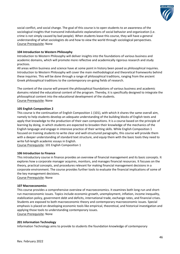

social conflict, and social change. The goal of this course is to open students to an awareness of the sociological insights that transcend individualistic explanations of social behavior and organization (i.e. crime is not simply caused by bad people). When students leave this course, they will have a general understanding of what sociologists do and how to view the world through sociological perspectives. Course Prerequisite: None

# **104 Introduction to Western Philosophy**

Introduction to Western Philosophy will deliver insights into the foundations of various business and academic domains, which will promote more reflective and academically rigorous research and study practices.

All areas within business and science have at some point in history been posed as philosophical inquiries. Introduction to Western Philosophy will cover the main methodological and theoretical frameworks behind these inquiries. This will be done through a range of philosophical traditions, ranging from the ancient Greek philosophical traditions to the contemporary on-going fields of research.

The content of the course will present the philosophical foundations of various business and academic domains related the educational content of the program. Thereby, it is specifically designed to integrate the philosophical content into the educational development of the students. Course Prerequisite: None

# **105 English Composition 2**

This course is the continuation of English Composition 1 (101), with which it shares the same overall aim, namely to help students develop an adequate understanding of the building blocks of English texts and apply that knowledge to the production of their own compositions. It is a course based on the principle of learning by doing, in which students are expected to broaden their knowledge of the mechanics of the English language and engage in intensive practice of their writing skills. While English Composition 1 focused on training students to write clear and well-structured paragraphs, this course will provide them with a deeper understanding of standard text structure, and equip them with the basic tools they need to write full-length academic essays in English.

Course Prerequisite: 101 English Composition 1

# **106 Introduction to Finance**

This introductory course in finance provides an overview of financial management and its basic concepts. It explores how a corporate manager acquires, monitors, and manages financial resources. It focuses on the theory, practical concepts, and procedures relevant for making financial management decisions in a corporate environment. The course provides further tools to evaluate the financial implications of some of the key management decisions.

Course Prerequisite: None

# **107 Macroeconomics**

This course provides a comprehensive overview of macroeconomics. It examines both long-run and shortrun macroeconomic issues. Topics include economic growth, unemployment, inflation, income inequality, stabilization policy, government debt and deficits, international trade, exchange rates, and financial crises. Students are exposed to both macroeconomic theory and contemporary macroeconomic issues. Special emphasis is placed on developing economic tools like empirical, theoretical, and historical investigation and applying those tools to understanding contemporary issues. Course Prerequisite: None

**201 Information Technology**

Information Technology aims to provide to students the foundation knowledge of contemporary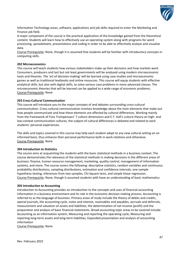

Information Technology areas, software, applications and job skills required to enter the Marketing and Finance job field.

A major component of the course is the practical application of the knowledge gained from the theoretical content. Students will learn how to effectively use an operating system along with programs for word processing, spreadsheets, presentations and coding in order to be able to effectively analyze and visualize data.

Course Prerequisite: None, though It is assumed that students will be familiar with introductory concepts in computing skills.

# **202 Microeconomics**

This course will teach students how various stakeholders make up their decisions and how markets work. Consumers, producers and last but not least governments will be analyzed using modern microeconomic tools and theories. The 'art of decision-making' will be learned using case studies and microeconomic games as well as traditional textbooks and online resources. This course will equip students with effective analytical skills, but also with digital skills, to solve various case problems in more advanced classes. The microeconomic theories that will be learned can be applied to a wide range of economic problems. Course Prerequisite: None

# **203 Cross-Cultural Communication**

This course will introduce you to the major concepts of and debates surrounding cross-cultural communication. Cross-cultural communication involves knowledge about the main elements that make out how people communicate and how these elements are affected by cultural differences. Working mainly from the framework of Fons Trompenaars' 7 culture dimensions and E.T. Hall's culture theory on high- and low-context communication cultures, the subject of cultural differences is debated and related to each students' personal experiences.

The skills and topics covered in this course may help each student adapt to any new cultural setting on an informed basis, thus enhance their personal performance both in work relations and otherwise. Course Prerequisite: None

# **204 Introduction to Statistics**

The course aims at acquainting the students with the basic statistical methods in a business context. The course demonstrates the relevance of the statistical methods in making decisions in the different areas of business: finance, human resource management, marketing, quality control, management of information systems, and more. The course covers the following: descriptive statistics, random variables and continuous probability distributions, sampling distributions, estimation and confidence intervals, one-sample hypothesis testing, inferences from two samples, Chi-Square tests, and simple linear regression. Course Prerequisite: None, though it assumed students with have an understanding of basic mathematics

# **205 Introduction to Accounting**

Introduction to Accounting provides an introduction to the concepts and uses of financial accounting information in a business environment and its role in the economic decision-making process. Accounting is referred to as the language of business. Primary areas of study include the theory of debits and credits, special journals, the accounting cycle, notes and interest, receivables and payables, accruals and deferrals, measurement and valuation of assets and liabilities, the determination of net income (profit) and the preparation and analysis of basic financial statements. Broad accounting topic areas to be covered include: Accounting as an information system, Measuring and reporting the operating cycle, Measuring and reporting long-term assets and long-term liabilities, Expanded presentation and analysis of accounting information

Course Prerequisite: None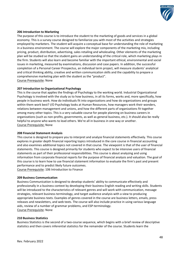

# **206 Introduction to Marketing**

The purpose of this course is to introduce the student to the marketing of goods and services in a global economy. This is a survey course designed to familiarize you with most of the activities and strategies employed by marketers. The student will acquire a conceptual base for understanding the role of marketing in a business environment. The course will explore the major components of the marketing mix, including pricing, product, distribution, advertising, sales retailing and wholesaling. Other elements of the marketing plan will be studied so that the student gains an understanding of the critical role, which marketing plays in the firm. Students will also learn and become familiar with the important ethical, environmental and social issues in marketing, measured by examinations, discussion and case papers. In addition, the successful completion of a Personal Career Prospectus, an individual term project, will measure students' analytical and critical thinking ability, creative and written communication skills and the capability to prepare a comprehensive marketing plan with the student as the "product". Course Prerequisite: None

# **207 Introduction to Organizational Psychology**

This is the course that applies the findings of Psychology to the working world. Industrial Organizational Psychology is involved with the study as to how business, in all its forms, works and, more specifically, how people in business work. How do individuals fit into organizations and how do organizations and groups within them work best? I/O Psychology looks at Human Resources, how managers work their wonders, relations between management and unions, and how the different parts of organizations fit together among many other topics. This is a very valuable course for people planning on business careers in organizations (such as non-profits, governments, as well as general business, etc.). It should also be really helpful to anyone who wants to lead others. We're all in business in one way or another. Course Prerequisite: None

# **208 Financial Statement Analysis**

This course is designed to prepare you to interpret and analyze financial statements effectively. This course explores in greater depth financial reporting topics introduced in the core course in financial accounting and also examines additional topics not covered in that course. The viewpoint is that of the user of financial statements. This course is designed primarily for students who expect to be intensive users of financial statements as part of their professional responsibilities. This course is about analyzing and using information from corporate financial reports for the purpose of financial analysis and valuation. The goal of this course is to learn how to use financial statement information to evaluate the firm's past and present performance and to predict likely future outcomes. Course Prerequisite: 106 Introduction to Finance

## **209 Business Communication**

Business Communication is designed to develop students' ability to communicate effectively and professionally in a business context by developing their business English reading and writing skills. Students will be introduced to the characteristics of relevant genres and will work with communication, message strategies, relevant business terminology, and target audience analysis with a view to producing appropriate business texts. Examples of genres covered in the course are business letters, emails, press releases and newsletters, and web texts. The course will also include practice in using various language aids, review of a number of grammar problems, and ESP-terminology. Course Prerequisite: None

## **210 Business Statistics**

Business Statistics is the second of a two-course sequence, which begins with a brief review of descriptive statistics and then covers inferential statistics for the remainder of the course. Students learn the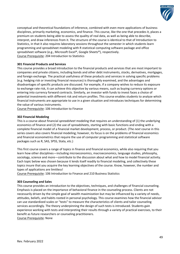

conceptual and theoretical foundations of inference, combined with even more applications of business disciplines, primarily marketing, economics, and finance. This course, like the one that precedes it, places a premium on students being able to assess the quality of real data, as well as being able to describe, interpret, and draw inferences from it. The structure of the course is identical to that of Introduction to Statistics, in that it also requires laboratory sessions throughout the semester in which students learn programming and spreadsheet modeling with R statistical computing software package and office spreadsheet software (e.g., Microsoft Excel®, Google Sheets®), respectively. Course Prerequisite: 204 Introduction to Statistics

# **301 Financial Products and Services**

This course provides a broad introduction to the financial products and services that are most important to companies and private citizens, including bonds and other debt instruments, stocks, derivatives, mortgages, and foreign exchange. The practical usefulness of these products and services in solving specific problems (e.g. hedging risk or investing financial resources) is thoroughly examined, and the advantages and disadvantages of specific products are discussed. For example, if a company wishes to reduce its exposure to exchange rate risk, it can achieve this objective by various means, such as buying currency options or entering into currency forward contracts. Similarly, an investor with funds to invest faces a choice of potential investments with different risk and return profiles. This course enables students to analyze which financial instruments are appropriate to use in a given situation and introduces techniques for determining the value of various instruments.

Course Prerequisite: 106 Introduction to Finance

# **302 Financial Modeling**

This is a course about financial *spreadsheet* modeling that requires an understanding of (1) the underlying economics of finance and (2) the use of spreadsheets, starting with basic functions and ending with a complete financial model of a financial market development, process, or product. (The *next* course in this series covers also covers financial modeling; however, its focus is on the problems of financial economics and financial econometrics that require the use of computer programming and statistical software packages such as R, SAS, SPSS, Stata, etc.)

This first course covers a range of topics in finance and financial economics, while also requiring that you learn how other disciplines—including microeconomics, macroeconomics, language studies, philosophy, sociology, science and more—contribute to the discussion about what and how to model financial activity. Each topic below was chosen because it lends itself readily to financial modeling, and collectively these topics insure that you acquire the key learning objectives of the course. Know, however, the number and types of applications are limitless!

Course Prerequisite: 106 Introduction to Finance and 210 Business Statistics

# **303 Counseling and Sales**

This course provides an introduction to the objectives, techniques, and challenges of financial counseling. Emphasis is placed on the importance of behavioral finance in the counseling process. Clients are not necessarily driven by the simple goal of wealth maximization but may be influenced by a variety of needs, attitudes, beliefs, and habits rooted in personal psychology. This course examines how the financial advisor can use standardized scales or "tests" to measure the characteristics of clients and tailor counseling services accordingly. The theory underpinning the design of such tests is introduced. Students gain experience working with tests and interpreting their results through a variety of practical exercises, to their benefit as future researchers or counseling practitioners.

Course Prerequisite: None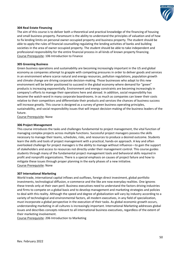

# **304 Real Estate Financing**

The aim of this course is to deliver both a theoretical and practical knowledge of the financing of housing and small business property. Paramount is the ability to understand the principles of valuation and of how to fix lending limits on personal owner-occupied property and business property. The student should be able to apply the rules of financial counselling regulating the lending activities of banks and building societies in the area of owner occupied property. The student should be able to take independent and professional responsibility for the entire financial process in all kinds of known property financing. Course Prerequisite: 106 Introduction to Finance

# **305 Greening Business**

Green business operations and sustainability are becoming increasingly important in the US and global economy as companies attempt to grapple with competing pressures in order to deliver goods and services in an environment where scarce natural and energy resources, pollution regulations, population growth and climate change are driving corporate decision-making. Those businesses who adapt to this new environment will be better positioned to succeed in the global economy where demand for "green" products is increasing exponentially. Environment and energy constraints are becoming increasingly in company's efforts to manage their operations here and abroad. In addition, social responsibility has become the watch-word in many corporate boardrooms. In as much as companies can lower their costs relative to their competitors and differentiate their products and services the chances of business success will increase greatly. This course is designed as a survey of green business operating principles, sustainability, and social responsibility issues that will impact decision-making of the business leaders of the future.

Course Prerequisite: None

# **306 Project Management**

This course introduces the tasks and challenges fundamental to project management, the vital function of managing complex projects across multiple functions. Successful project managers possess the skills necessary to manage their teams, schedules, risks, and resources to produce a desired outcome. Students learn the skills and tools of project management with a practical, hands-on approach. A key and often overlooked challenge for project managers is the ability to manage without influence—to gain the support of stakeholders and access to resources not directly under their management control. This course guides students through many of the fundamental project management tools and behavioral skills required in profit and nonprofit organizations. There is a special emphasis on causes of project failure and how to mitigate these issues through proper planning in the early phases of a new initiative. Course Prerequisite: None

# **307 International Marketing**

World trade, international capital inflows and outflows, foreign direct investment, global portfolio investments, technological diffusion, e-commerce and the like are now everyday realities. One ignores these trends only at their own peril. Business executives need to understand the factors driving industries and firms to compete on a global basis and to develop management and marketing strategies and policies to deal with this reality. Although the speed and degree of globalization will vary by industry according to a variety of technological and environmental factors, all modern executives, in any field of specialization, must incorporate a global perspective in the execution of their tasks. As global economic growth occurs, understanding marketing in all cultures is increasingly important. International Marketing addresses global issues and describes concepts relevant to all international business executives, regardless of the extent of their marketing involvement.

Course Prerequisite: 206 Introduction to Marketing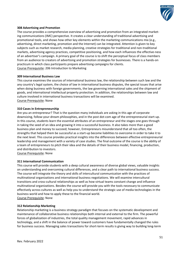

# **308 Advertising and Promotion**

The course provides a comprehensive overview of advertising and promotion from an integrated marketing communications (IMC) perspective. It creates a clear understanding of traditional advertising and promotional tools, and shows how other key elements within the marketing communications mix (e.g., advertising, direct marketing, promotion and the Internet) can be integrated. Attention is given to key subjects such as market research, media planning, creative strategies for traditional and non-traditional markets, advertising agency practices, competitive positioning, and how each influences the effective-ness of an advertiser's campaign. A primary goal of the course is to shift the perceptual focus of class members from an audience to creators of advertising and promotion strategies for businesses. There is a hands-on practicum in which class participants prepare advertising campaigns for clients. Course Prerequisite: 206 Introduction to Marketing

# **309 International Business Law**

This course examines the sources of international business law, the relationship between such law and the any country's legal system, the choice of law in international business disputes, the special issues that arise when doing business with foreign governments, the law governing international sales and the shipment of goods, and international intellectual property protection. In addition, the relationships between law and culture involved in international business transactions will be examined. Course Prerequisite: None

# **310 Cases in Entrepreneurship**

Are you an entrepreneur? That is the question many individuals are asking in this age of corporate downsizing, follow-your-dream philosophies, and in the post dot-com age of the entrepreneurial start-up. In this course, students learn the essential attributes of an entrepreneur and the stages one goes through in taking the seed of an idea and growing it into a successful business. It also takes more than a good business plan and money to succeed; however, Entrepreneurs misunderstand that all too often, the strengths that helped them be successful as a start-up become liabilities to overcome in order to take it to the next level. This course provides practical insights into the differences between effective entrepreneurial leadership and management with a variety of case studies. The final outcome of the course is the ability of a team of entrepreneurs to pitch their idea and the details of their business model, financing, production, and distribution to investors.

Course Prerequisite: None

# **311 International Communication**

This course will provide students with a deep cultural awareness of diverse global views, valuable insights on understanding and overcoming cultural differences, and a clear path to international business success. The course will integrate the theory and skills of intercultural communication with the practices of multinational organizations and international business negotiations. We will examine intercultural transitions and cross-cultural relationships as well as how virtual teams constant change and influence multinational organizations. Besides the course will provide you with the tools necessary to communicate effectively across cultures as well as help you to understand the strategic use of media technologies in the business world and how to apply these to the financial world. Course Prerequisite: None

# **312 Relationship Marketing**

Relationship marketing is a business strategy paradigm that focuses on the systematic development and maintenance of collaborative business relationships both internal and external to the firm. The powerful forces of globalization of industries, the total quality management movement, rapid advances in technology, and a shift in the balance of power toward customers have fundamentally changed the rules for business success. Managing sales transactions for short-term results is giving way to building long-term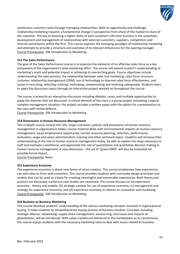

continuous customer value through managing relationships. Both an opportunity and challenge, relationship marketing requires a fundamental change in perspective from share of the market to share of the customer. The key to attaining a higher share of each customer's life-time business is the systematic development and management of relationships with external customers, suppliers, competitors and internal constituents within the firm. This course explores the emerging paradigm of relationship marketing and attempts to provide a structure and overview of its relevant dimensions for the aspiring manager. Course Prerequisite: 206 Introduction to Marketing

# **313 The Sales Performance**

The goal of the Sales Performance course is to examine the elements of an effective sales force as a key component of the organization's total marketing effort. The course will extend student's understanding of marketing's reach and potential impact in achieving its overarching goals. Course objectives include understanding the sales process, the relationship between sales and marketing, sales force structure, customer relationship management (CRM), use of technology to improve sales force effectiveness, and issues in recruiting, selecting, training, motivating, compensating and retaining salespeople. Students learn to apply the discussion topics through an interactive project worked on throughout the course.

The course is primarily an interactive discussion including debates, cases, and multiple opportunities to apply the theories that are discussed. A critical element of the class is a group project simulating a typical complex management situation; the project includes a written paper with the option for a presentation to the class with verbal defense.

Course Prerequisite: 206 Introduction to Marketing

# **314 Dimensions in Human Resource Management**

This in-depth course surveys the role, major outcomes, policies and procedures of human resource management in organizations today. Course material deals with environmental impacts on human resource management, equal employment opportunity, human resource planning, selection, performance evaluation, wage and salary administration, training and other pertinent topics. Students will increase their understanding of the role of human resource management today, be able to explain the steps necessary to staff and motivate a workforce, and appreciate the role of quantitative and qualitative decision making in human resource management. A new dimension – the art of "green HRM" will also be evaluated for possible future impact.

Course Prerequisite: None

# **315 Experience Economy**

The experience economy is about new forms of value creation. This course emphasizes how experiences can add value to firms and customers. This course provides students with concreate design principles and models that can be used as a basis for creating meaningful and memorable experiences. Both theory and practice are discussed; numerous case studies are examined. The course focuses on (a) experience economy - theory and models; (b) strategic context for use of experience economy; (c) management and strategy for experience economy; and (d) experience economy in relation to innovation and marketing. Course Prerequisite: 206 Introduction to Marketing

# **316 Business to Business Marketing**

This course develops students' understanding of the various marketing concepts involved in organizational buying. It helps students to comprehend the buying process of business markets. Concepts including strategic alliance, networking, supply chain management, outsourcing, and issues and impacts of globalization, will be introduced. With value created and delivered in the marketplace as its cornerstone, this course equips students with the necessary marketing tools to deal with issues related to business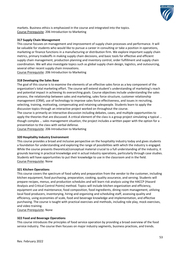

markets. Business ethics is emphasized in the course and integrated into the topics. Course Prerequisite: 206 Introduction to Marketing

# **317 Supply Chain Management**

This course focuses on management and improvement of supply chain processes and performance. It will be valuable for students who would like to pursue a career in consulting or take a position in operations, marketing or finance functions in a manufacturing or distribution firm. We explore important supply chain metrics, primary tradeoffs in making supply chain decisions, and basic tools for effective and efficient supply chain management, production planning and inventory control, order fulfillment and supply chain coordination. We will also investigate topics such as global supply chain design, logistics, and outsourcing, several other recent supply chain innovations.

Course Prerequisite: 206 Introduction to Marketing

# **318 Developing the Sales Base**

The goal of this course is to examine the elements of an effective sales force as a key component of the organization's total marketing effort. The course will extend student's understanding of marketing's reach and potential impact in achieving its overarching goals. Course objectives include understanding the sales process, the relationship between sales and marketing, sales force structure, customer relationship management (CRM), use of technology to improve sales force effectiveness, and issues in recruiting, selecting, training, motivating, compensating and retaining salespeople. Students learn to apply the discussion topics through an interactive project worked on throughout the course.

The course is primarily an interactive discussion including debates, cases, and multiple opportunities to apply the theories that are discussed. A critical element of the class is a group project simulating a typical … though complex … sales management situation; the project includes a written paper with the option for a presentation to the class with verbal defense.

Course Prerequisite: 206 Introduction to Marketing

# **320 Hospitality Industry Environment**

This course provides a broad and inclusive perspective on the hospitality industry today and gives students a foundation for understanding and exploring the range of possibilities with which the industry is engaged. While the course presents theoretical/conceptual material crucial to a full understanding of the industry, it grounds learning in practical knowledge and in actual industry operations, particularly through case studies. Students will have opportunities to put their knowledge to use in the classroom and in the field. Course Prerequisite: None

# **321 Kitchen Operations**

This course covers the spectrum of food safety and preparation from the vendor to the customer, including kitchen equipment, food purchasing, preparation, cooking, quality assurance, and serving. Students will prepare recipes, menus, and production schedules and will learn risk analysis using the HACCP (Hazard Analysis and Critical Control Points) method. Topics will include kitchen organization and efficiency, equipment use and maintenance, food composition, food ingredients, dining room management, utilizing local food producers, inventorying, hiring and organizing and scheduling staff, assessing quality and efficiency, using economies of scale, food and beverage knowledge and implementation, and effective purchasing. The course is taught with practical exercises and methods, including role play, mock exercises, and video training.

Course Prerequisite: None

## **322 Food and Beverage Operations**

This course introduces the principles of food service operation by providing a broad overview of the food service industry. The course then focuses on major industry segments, business practices, and trends.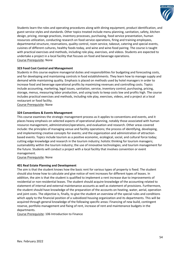

Students learn the roles and operating procedures along with dining equipment, product identification, and guest service styles and standards. Other topics treated include menu planning, sanitation, safety, kitchen design, pricing, storage practices, inventory processes, purchasing, food service presentation, human resources utilization, conducting research on food service operations, firing and training employees, departmental structure, reservations, quality control, room service, takeout, catering and special events, cuisines of different cultures, healthy foods today, and wine and wine-food pairing. The course is taught with practical exercises and methods, including role play, exercises, and videos. Students are expected to undertake a project in a local facility that focuses on food and beverage operations. Course Prerequisite: None

# **323 Food Cost Control and Management**

Students in this course explore managerial duties and responsibilities for budgeting and forecasting costs, and for developing and maintaining controls in food establishments. They learn how to manage supply and demand while maintaining quality. Emphasis is placed on methods used by hotel managers in order to increase food and beverage operational profits by maximizing revenues and controlling costs. Topics include accounting, marketing, legal issues, sanitation, service, inventory control, purchasing, pricing, storage, menus, measuring labor production, and using tools to keep costs low and profits high. The course includes practical exercises and methods, including role play, exercises, videos, and a project at a local restaurant or food facility.

Course Prerequisite: None

# **324 Conventions & Events Management**

This course examines the strategic management process as it applies to conventions and events, and it places heavy emphasis on selected aspects of operational planning, notably those associated with human resource management, administration/operations, and evaluation and research. Other areas covered include: the principles of managing venue and facility operations; the process of identifying, developing, and implementing creative concepts for events; and the organization and administration of attractionbased events. Topics include tourism as a positive economic, ecological, social, and cultural force today; cutting edge knowledge and research in the tourism industry; holistic thinking for tourism managers; sustainability within the tourism industry; the use of innovative technologies; and tourism management for the future. Students will conduct a project with a local facility that involves convention or event management.

Course Prerequisite: None

# **401 Real Estate Planning and Development**

The aim is that the student knows how the basic rent for various types of property is fixed. The student should also know how to calculate and give notice of rent increases for different types of leases. In addition, the aim is that the student is qualified to implement a rent increase due to improvements of residential or non-residential leases. The student should acquire knowledge of the accounting related to statement of internal and external maintenance accounts as well as statement of provisions. Furthermore, the student should have knowledge of the preparation of the accounts on heating, water, aerial, operation and joint costs. The objective is, finally, to give the student an overview of the special rules and conditions which apply to the financial position of a subsidized housing organization and its departments. This will be acquired through general knowledge of the following specific areas: Financing of new build, contingent reserve, portfolio management and fixing of rent, increase of rent and maintenance budgets in the departments.

Course Prerequisite: 106 Introduction to Finance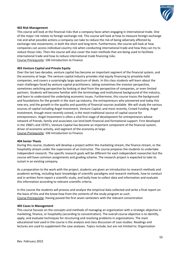

# **402 Risk Management**

This course will look at the financial risks that a company faces when engaging in international trade. One of the major risk relates to foreign exchange risk. This course will look at how to measure foreign exchange risk and what possible actions a company can take to reduce the risk of being adversely affected by exchange rate movements, in both the short and long term. Furthermore, the course will look at how companies can access individual country risk when conducting international trade and how they can try to reduce those risks. Then the course will also cover the main methods that are being used to facilitate international trade and how to reduce international trade financing risks. Course Prerequisite: 106 Introduction to Finance

# **403 Venture Capital and Private Equity**

Over the last two decades, venture capital has become an important segment of the financial system, and the economy at large. The venture capital industry provides vital equity financing to privately-held companies, and covers a surprisingly large spectrum of deals. In this class students will learn about the main challenges faced by venture capital practitioners, taking sometimes the investor perspective, sometimes switching perspective by looking at deal from the perspective of companies, or even limited partners. Students will become familiar with the terminology and institutional background of the industry, and learn to understand the underlying economic issues. Furthermore, this course traces the background and foundations for the growth in the start-up industry, the entrepreneurs who pioneered and today this new era, and the growth in the quality and quantity of financial sources available. We will study the various sources of capital including Angel Investment, Venture Capital, and most recently, Crowd Funding. Angel Investment, though more recently coined, is the most traditional source of capital source for entrepreneurs. Angel Investment is often a vital first stage of development for entrepreneurs whose network of friends, family and associates can lend both financial and formational support. First developed in the 1960's and 1970's, Venture Capital has become an important component of the financial system, driver of economic activity, and segment of the economy at large. Course Prerequisite: 106 Introduction to Finance

## **404 Senior Thesis**

During this course, students will develop a project within the marketing stream, the finance stream, or the hospitality stream under the supervision of an instructor. The course prepares the students to undertake independent research. The specific research goals will be different for each independent researcher but the course will have common assignments and grading scheme. The research project is expected to take its outset in an existing company.

As a preparation to the work with the project, students are given an introduction to research methods and academic writing, including basic knowledge of scientific paradigms and research methods, how to conduct and in written form report a scientific study, and lastly how to collect data and information and evaluate this information according to relevant scientific criteria.

In this course the students will process and analyze the empirical data collected and write a final report on the basis of this and the know-how from the contents of the study program as such. Course Prerequisite: Having passed the first seven semesters with the relevant concentration

# **405 Cases in Management**

This course focuses on the concepts and methods of managing an organization with a strategic objective in marketing, finance, or hospitality (according to concentration). The overall course objective is to identify, apply, and evaluate techniques for structuring and resolving problems in organizations. The main educational tool used in the course is the analysis and class discussion of case studies. Readings and lectures are used to supplement the case analyses. Topics include, but are not limited to: Organization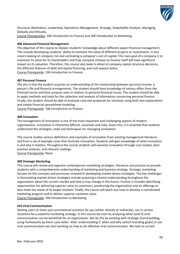

Structure, Motivation, Leadership, Operations Management, Strategy, Stakeholder Analysis, Managing Globally and Ethically. Course Prerequisites: 106 Introduction to Finance and 206 Introduction to Marketing

# **406 Advanced Financial Management**

The objective of this course to deepen students' knowledge about different aspect financial management. This include developing students' ability to estimate the value of different projects or investments. It also covers looking at company risk and estimating a company's cost of capital. The main goal of a company is to maximize its value for its shareholders and how company chooses to finance itself will have significant impact on its valuation. Therefore, this course also looks in detail at company capital structure decisions, the different features of debt and equity financing, and cash payout policy. Course Prerequisite: 106 Introduction to Finance

# **407 Personal Finance**

The aim is that the student acquires an understanding of the relationship between personal income, a person's life and financial arrangements. The student should have knowledge of various offers from the financial sector and their purpose seen in relation to personal financial issues. The student should be able to apply methods and tools for the collection and analysis of information concerning personal finance. Finally, the student should be able to evaluate concrete proposals for solutions using both text explanations and simple financial spreadsheet modeling.

Course Prerequisite: 106 Introduction to Finance

# **408 Innovation**

The management of innovation is one of the most important and challenging aspects of modern organizations. Innovation is inherently difficult, uncertain and risky. Given this, it is essential that students understand the strategies, tools and techniques for managing innovation.

This course studies various definitions and examples of innovation from existing management literature and from a set of example cases that illustrate innovation. Students will gain knowledge of what innovation is and why it matters. Throughout the course students will examine innovation through case studies, best practice analyses, and relevant readings. Course Prerequisite: None

# **409 Strategic Marketing**

This course will review and appraise contemporary marketing strategies, literature and practice to provide students with a comprehensive understanding of marketing and business strategy. Strategic marketing focuses on the concepts and processes involved in developing market-driven strategies. The key challenges in formulating market-driven strategies include acquiring a shared understanding throughout the organization about the current market and how it may change in the future. Further it includes identifying opportunities for delivering superior value to customers, positioning the organization and its offerings to best meet the needs of its target markets. Finally, the course will teach you how to develop a coordinated marketing program and to deliver superior customer value.

Course Prerequisite: 206 Introduction to Marketing

# **410 Viral Communication**

Getting users to share your promotional activities for you (either directly or indirectly), can in certain situations be a powerful marketing strategy. In this course we start by analyzing when (and if) viral communication can be beneficial for an organization. We do this by working with strategic brand building, using frameworks by Kevin Lane Keller. After understanding if, when and why (which branding goals) to use viral communication we start working on how to do effective viral communication. We look at current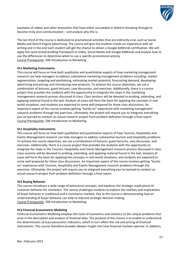

examples of videos and other promotion that have either succeeded or failed in breaking through to become truly viral communication – and analyze why this is.

The last third of the course is dedicated to promotional activities that are indirectly viral, such as Social Media and Search Engine advertising. The course will give the students hands-on experience with ad writing and in the end each student will get the chance to obtain a Google AdWords certification. We will apply the same brand-building framework to Video, Social Media and Google AdWords and analyze how to use the differences to determine when to use a specific promotional activity. Course Prerequisite: 206 Introduction to Marketing

# **411 Marketing Instruments**

This course will focus on how both qualitative and quantitative aspects of how marketing management research can help managers to address substantive marketing management problems including: market segmentation, targeting and positioning, estimating market potential, forecasting demand, developing advertising and pricing, and introducing new products. To achieve the course objectives, we use a combination of lectures, guest lectures, case discussion, and exercises. Additionally, there is a course project that provides the students with the opportunity to integrate the steps in the marketing management research process discussed in class. Class sessions will be devoted to probing, extending, and applying material found in the text. Analysis of cases will form the basis for applying the concepts in realworld situations, and students are expected to come well prepared for these class discussions. An important aspect of the course involves getting "hands-on" experience with marketing management research problems through the exercises. Ultimately, the project will require you to integrate everything you've learned to conduct an actual research project from problem definition through a final report. Course Prerequisite: 206 Introduction to Marketing

# **411 Hospitality Instruments**

This course will focus on how both qualitative and quantitative aspects of how Tourism, Hospitality and Events Management research can help managers to address substantive tourism and hospitality problems. To achieve the course objectives, we use a combination of lectures, guest lectures, case discussion, and exercises. Additionally, there is a course project that provides the students with the opportunity to integrate the steps in the Tourism, Hospitality and Events Management research process discussed in class. Class sessions will be devoted to probing, extending, and applying material found in the text. Analysis of cases will form the basis for applying the concepts in real-world situations, and students are expected to come well prepared for these class discussions. An important aspect of the course involves getting "handson" experience with Tourism, Hospitality and Events Management research problems through the exercises. Ultimately, the project will require you to integrate everything you've learned to conduct an actual research project from problem definition through a final report.

# **412 Buying Behavior**

The course introduces a wide range of behavioral concepts, and explores the strategic implications of customer behavior for marketers. The course challenges students to explore the realities and implications of buyer behavior in traditional and e-commerce markets. Key to the course is demonstrating how an understanding of buyer behavior can help to improve strategic decision making. Course Prerequisite: 206 Introduction to Marketing

# **413 Financial Econometric Modeling**

Financial Econometric Modeling employs the tools of economics and statistics to the unique problems that arise in the description and analysis of financial data. The purpose of this course is to enable to understand the determinants of macroeconomic indicators, which in turn affect the risk and pricing of financial instruments. This course therefore provides deeper insight into how financial markets operate. In addition,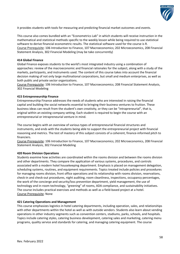

it provides students with tools for measuring and predicting financial market outcomes and events.

This course also comes bundled with an "Econometrics Lab" in which students will receive instruction in the mathematical and statistical methods specific to the weekly lesson while being required to use statistical software to derive financial econometric results. The statistical software used for the course is R. Course Prerequisite: 106 Introduction to Finance, 107 Macroeconomics; 202 Microeconomics, 208 Financial Statement Analysis, 302 Financial Modeling (may be take concurrently)

# **414 Global Finance**

Global Finance exposes students to the world's most integrated industry using a combination of approaches: review of the macroeconomic and financial rationales for the subject, along with a study of the markets, participants, and instruments used. The content of this course takes into account the financial decision making of not only large multinational corporations, but small and medium enterprises, as well as both public and private sector organizations.

Course Prerequisite: 106 Introduction to Finance, 107 Macroeconomics; 208 Financial Statement Analysis, 302 Financial Modeling

# **415 Entrepreneurship Finance**

Entrepreneurship Finance addresses the needs of students who are interested in raising the financial capital and building the social networks essential to bringing their business ventures to fruition. These business ideas can result from the student's own creativity, or they can be "intrapreneurial", that is, original within an existing company setting. Each student is required to begin the course with an entrepreneurial or intrapreneurial venture in mind.

The course begins with an overview of various types of entrepreneurial financial structures and instruments, and ends with the students being able to support the entrepreneurial project with financial reasoning and metrics. The test of mastery of this subject consists of a coherent, finance-informed pitch to financiers.

Course Prerequisite: 106 Introduction to Finance, 107 Macroeconomics; 202 Microeconomics, 208 Financial Statement Analysis, 302 Financial Modeling

# **420 Room Division Operations**

Students examine how activities are coordinated within the rooms division and between the rooms division and other departments. They compare the application of various systems, procedures, and controls associated with a modern hotel housekeeping department. Emphasis is placed on management delegation, scheduling systems, routines, and equipment requirements. Topics treated include policies and procedures for managing rooms division, front office operations and its relationship with rooms division, reservations, check-in and check-out procedures, night auditing, room cleanliness, inspections, occupancy percentages, the work of the concierge and security/loss prevention department, yield management, the use of technology and in-room technology, "greening" of rooms, ADA compliance, and sustainability initiatives. The course includes practical exercises and methods as well as a field-based project at a hotel. Course Prerequisite: None

# **421 Catering Operations and Management**

This course emphasizes logistics in hotel catering departments, including operation, sales, and relationships with other departments within the hotel as well as with outside vendors. Students also learn about vending operations in other industry segments such as convention centers, stadiums, parks, schools, and hospitals. Topics include catering styles, catering business development, catering sales and marketing, catering menu programs, quality service and standards for catering, and managing catering equipment. The course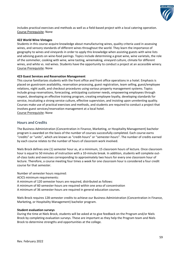

includes practical exercises and methods as well as a field-based project with a local catering operation. Course Prerequisite: None

# **422 World Wine Vintages**

Students in this course acquire knowledge about manufacturing wines, quality criteria used in assessing wines, and sensory standards of different wines throughout the world. They learn the importance of geography to wines and vineyards in order to apply this knowledge when assisting guests with wine lists and advising guests on wine-food pairings. Topics include determining a great wine, wine varietals, the role of the sommelier, cooking with wine, wine tasting, winemaking, vineyard culture, climate for different wines, and white vs. red wines. Students have the opportunity to conduct a project at an accessible winery. Course Prerequisite: None

# **423 Guest Services and Reservation Management**

This course familiarizes students with the front office and front office operations in a hotel. Emphasis is placed on guestroom availability, reservation processing, guest registration, team selling, guest/employee relations, night audit, and checkout procedures using various property management systems. Topics include group reservations, forecasting, anticipating customer needs, empowering employees through respect, developing an effective training program, creating employee loyalty, developing standards for service, inculcating a strong service culture, effective supervision, and insisting upon unrelenting quality. Courses make use of practical exercises and methods, and students are required to conduct a project that involves guest services/reservation management at a local hotel. Course Prerequisite: None

# **Hours and Credits**

The Business Administration (Concentration in Finance, Marketing, or Hospitality Management) bachelor program is awarded on the basis of the number of courses successfully completed. Each course earns "credits" or "units", which are known as "credit-hours" or "semester-hours". The number of credits earned by each course relates to the number of hours of classroom work involved.

Niels Brock defines one (1) semester hour as, at a minimum, 15 classroom hours of lecture. Once classroom hour is equal to 50 minutes of instruction with a 10-minute break. In addition, students will complete outof-class tasks and exercises corresponding to approximately two hours for every one classroom hour of lecture. Therefore, a course meeting four times a week for one classroom hour is considered a four credit course for that semester.

Number of semester hours required:

ACICS minimum requirements:

A minimum of 120 semester hours are required, distributed as follows:

A minimum of 60 semester-hours are required within one area of concentration

A minimum of 36 semester-hours are required in general education courses.

Niels Brock requires 128 semester credits to achieve our Business Administration (Concentration in Finance, Marketing, or Hospitality Management) bachelor program.

## **Student evaluation surveys**

During the time at Niels Brock, students will be asked at to give feedback on the Program and/or Niels Brock by completing evaluation surveys. These are important as they help the Program team and Niels Brock to determine strengths and opportunities at the college.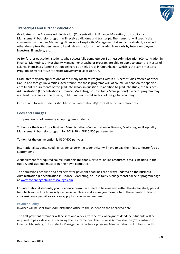

# **Transcripts and further education**

Graduates of the Business Administration (Concentration in Finance, Marketing, or Hospitality Management) bachelor program will receive a diploma and transcript. The transcript will specify the concentration in either Marketing, Finance, or Hospitality Management taken by the student, along with other descriptors that enhance full and fair evaluation of their academic records by future employers, investors, financiers, etc.

As for further education, students who successfully complete our Business Administration (Concentration in Finance, Marketing, or Hospitality Management) bachelor program are able to apply to enter the Master of Science in Business Administration delivered at Niels Brock in Copenhagen, which is the same Master´s Program delivered at De Montfort University in Leicester, UK.

Graduates may also apply to one of the many Masters Programs within business studies offered at other Danish and foreign universities. Acceptance into those programs will, of course, depend on the specific enrollment requirements of the graduate school in question. In addition to graduate study, the Business Administration (Concentration in Finance, Marketing, or Hospitality Management) bachelor program may also lead to careers in the private, public, and non-profit sectors of the global economy.

Current and former students should contact [international@brock.dk](mailto:international@brock.dk) to obtain transcripts.

# **Fees and Charges**

This program is not currently accepting new students.

Tuition for the Niels Brock Business Administration (Concentration in Finance, Marketing, or Hospitality Management) bachelor program for 2019-20 is EUR 5,800 per semester.

Tuition for the online option is USD4600 per year.

International students needing residence permit (student visa) will have to pay their first semester fee by September 1.

A supplement for required course Materials (textbook, articles, online resources, etc.) is included in the tuition, and students must bring their own computer.

The admissions deadline and first semester payment deadlines are always updated on the Business Administration (Concentration in Finance, Marketing, or Hospitality Management) bachelor program page at [www.copenhagenbusinesscollege.com.](http://www.copenhagenbusinesscollege.com/higher-education/american-bsc-in-business-administration/)

For international students, your residence permit will need to be renewed within the 4-year study period, for which you will be financially responsible. Please make sure you make note of the expiration date on your residence permit so you can apply for renewal in due time.

# **Payment Policy**

Invoices will be sent from Administration office to the student on the approved date.

The first payment reminder will be sent one week after the official payment deadline. Students will be required to pay 7 days after receiving the first reminder. The Business Administration (Concentration in Finance, Marketing, or Hospitality Management) bachelor program Administration will follow up with